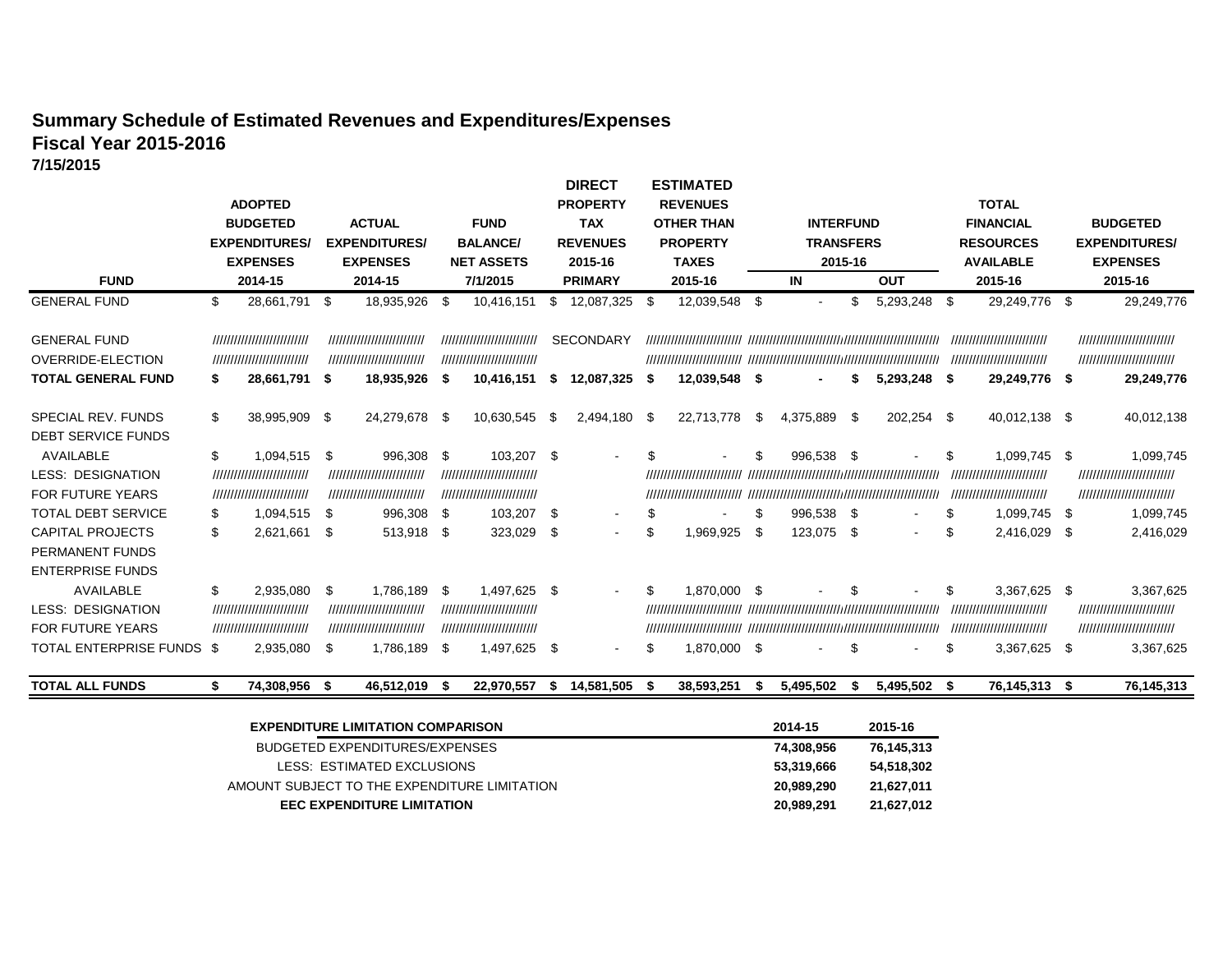### **Summary Schedule of Estimated Revenues and Expenditures/Expenses Fiscal Year 2015-2016 7/15/2015**

| <b>FUND</b>                                                                                        |          | <b>ADOPTED</b><br><b>BUDGETED</b><br><b>EXPENDITURES</b><br><b>EXPENSES</b><br>2014-15 |          | <b>ACTUAL</b><br><b>EXPENDITURES/</b><br><b>EXPENSES</b><br>2014-15               |             | <b>FUND</b><br><b>BALANCE/</b><br><b>NET ASSETS</b><br>7/1/2015                      |             | <b>DIRECT</b><br><b>PROPERTY</b><br><b>TAX</b><br><b>REVENUES</b><br>2015-16<br><b>PRIMARY</b> |      | <b>ESTIMATED</b><br><b>REVENUES</b><br><b>OTHER THAN</b><br><b>PROPERTY</b><br><b>TAXES</b><br>2015-16 |          | <b>INTERFUND</b><br><b>TRANSFERS</b><br>2015-16<br>IN |           | <b>OUT</b>     |          | <b>TOTAL</b><br><b>FINANCIAL</b><br><b>RESOURCES</b><br><b>AVAILABLE</b><br>2015-16      |      | <b>BUDGETED</b><br><b>EXPENDITURES/</b><br><b>EXPENSES</b><br>2015-16               |
|----------------------------------------------------------------------------------------------------|----------|----------------------------------------------------------------------------------------|----------|-----------------------------------------------------------------------------------|-------------|--------------------------------------------------------------------------------------|-------------|------------------------------------------------------------------------------------------------|------|--------------------------------------------------------------------------------------------------------|----------|-------------------------------------------------------|-----------|----------------|----------|------------------------------------------------------------------------------------------|------|-------------------------------------------------------------------------------------|
| <b>GENERAL FUND</b>                                                                                |          | 28,661,791                                                                             | - \$     | 18,935,926                                                                        | - \$        | 10,416,151                                                                           | S.          | 12,087,325                                                                                     | - \$ | 12,039,548                                                                                             | -\$      |                                                       | \$        | 5,293,248      | -\$      | 29,249,776                                                                               | - \$ | 29,249,776                                                                          |
| <b>GENERAL FUND</b><br><b>OVERRIDE-ELECTION</b>                                                    |          | ,,,,,,,,,,,,,,,,,,,,,,,,,<br>,,,,,,,,,,,,,,,,,,,,,,,,,,                                |          | ,,,,,,,,,,,,,,,,,,,,,,,,,,<br>,,,,,,,,,,,,,,,,,,,,,,,,,,                          |             | ,,,,,,,,,,,,,,,,,,,,,,,,,,<br>////////////////////////////                           |             | <b>SECONDARY</b>                                                                               |      |                                                                                                        |          |                                                       |           |                |          | ,,,,,,,,,,,,,,,,,,,,,,,,,,,,<br>,,,,,,,,,,,,,,,,,,,,,,,,,,                               |      | ////////////////////////////<br>///////////////////////////                         |
| <b>TOTAL GENERAL FUND</b>                                                                          | S.       | 28,661,791 \$                                                                          |          | 18,935,926                                                                        | - \$        | 10,416,151                                                                           | \$          | 12,087,325                                                                                     | S    | 12,039,548 \$                                                                                          |          |                                                       | S.        | $5,293,248$ \$ |          | 29,249,776 \$                                                                            |      | 29,249,776                                                                          |
| SPECIAL REV. FUNDS<br>DEBT SERVICE FUNDS                                                           | \$       | 38,995,909                                                                             | \$       | 24,279,678 \$                                                                     |             | 10,630,545                                                                           | - \$        | 2,494,180 \$                                                                                   |      | 22,713,778                                                                                             | \$       | 4,375,889                                             | \$        | 202,254 \$     |          | 40,012,138 \$                                                                            |      | 40,012,138                                                                          |
| AVAILABLE<br><b>LESS: DESIGNATION</b><br><b>FOR FUTURE YEARS</b>                                   | \$       | 1,094,515<br>,,,,,,,,,,,,,,,,,,,,,,,,,,<br>,,,,,,,,,,,,,,,,,,,,,,,,,,                  | \$       | 996,308<br>,,,,,,,,,,,,,,,,,,,,,,,,,,<br>////////////////////////////             | -\$         | 103,207 \$<br>,,,,,,,,,,,,,,,,,,,,,,,,,<br>,,,,,,,,,,,,,,,,,,,,,,,,,                 |             | $\sim$                                                                                         | S    | ,,,,,,,,,,,,,,,,,,,,,,,,,                                                                              |          | 996,538 \$                                            |           |                | \$       | 1,099,745 \$<br>,,,,,,,,,,,,,,,,,,,,,,,,,<br>,,,,,,,,,,,,,,,,,,,,,,,,,,,,                |      | 1,099,745<br>////////////////////////////<br>,,,,,,,,,,,,,,,,,,,,,,,,,,             |
| <b>TOTAL DEBT SERVICE</b><br><b>CAPITAL PROJECTS</b><br>PERMANENT FUNDS<br><b>ENTERPRISE FUNDS</b> | \$<br>\$ | 1,094,515<br>2,621,661                                                                 | \$<br>\$ | 996,308 \$<br>513,918 \$                                                          |             | 103,207<br>323,029                                                                   | -\$<br>-\$  | $\blacksquare$                                                                                 | \$   | 1,969,925                                                                                              | \$<br>\$ | 996,538 \$<br>123,075 \$                              |           | $\sim$         | \$<br>\$ | 1,099,745 \$<br>2,416,029 \$                                                             |      | 1,099,745<br>2,416,029                                                              |
| AVAILABLE<br><b>LESS: DESIGNATION</b><br><b>FOR FUTURE YEARS</b><br>TOTAL ENTERPRISE FUNDS \$      | \$       | 2,935,080<br>,,,,,,,,,,,,,,,,,,,,,,,,,<br>,,,,,,,,,,,,,,,,,,,,,,,,,,<br>2,935,080      | \$<br>\$ | 1,786,189<br>,,,,,,,,,,,,,,,,,,,,,,,,,<br>,,,,,,,,,,,,,,,,,,,,,,,,,,<br>1,786,189 | -\$<br>- \$ | 1,497,625<br>/////////////////////////////<br>,,,,,,,,,,,,,,,,,,,,,,,,,<br>1,497,625 | - \$<br>-\$ |                                                                                                |      | 1,870,000 \$<br>1,870,000 \$                                                                           |          |                                                       | \$.<br>\$ |                | \$<br>\$ | 3,367,625 \$<br>,,,,,,,,,,,,,,,,,,,,,,,,,<br>,,,,,,,,,,,,,,,,,,,,,,,,,,,<br>3,367,625 \$ |      | 3,367,625<br>///////////////////////////<br>,,,,,,,,,,,,,,,,,,,,,,,,,,<br>3,367,625 |
| <b>TOTAL ALL FUNDS</b>                                                                             | S.       | 74,308,956                                                                             | -S       | 46,512,019                                                                        | - 5         | 22,970,557                                                                           | - 56        | 14,581,505                                                                                     | - 56 | 38,593,251                                                                                             |          | 5,495,502                                             |           | 5,495,502      | - \$     | 76,145,313 \$                                                                            |      | 76,145,313                                                                          |

| <b>EXPENDITURE LIMITATION COMPARISON</b>     | 2014-15    | 2015-16    |
|----------------------------------------------|------------|------------|
| BUDGETED EXPENDITURES/EXPENSES               | 74.308.956 | 76,145,313 |
| LESS: ESTIMATED EXCLUSIONS                   | 53.319.666 | 54,518,302 |
| AMOUNT SUBJECT TO THE EXPENDITURE LIMITATION | 20.989.290 | 21.627.011 |
| <b>EEC EXPENDITURE LIMITATION</b>            | 20,989,291 | 21.627.012 |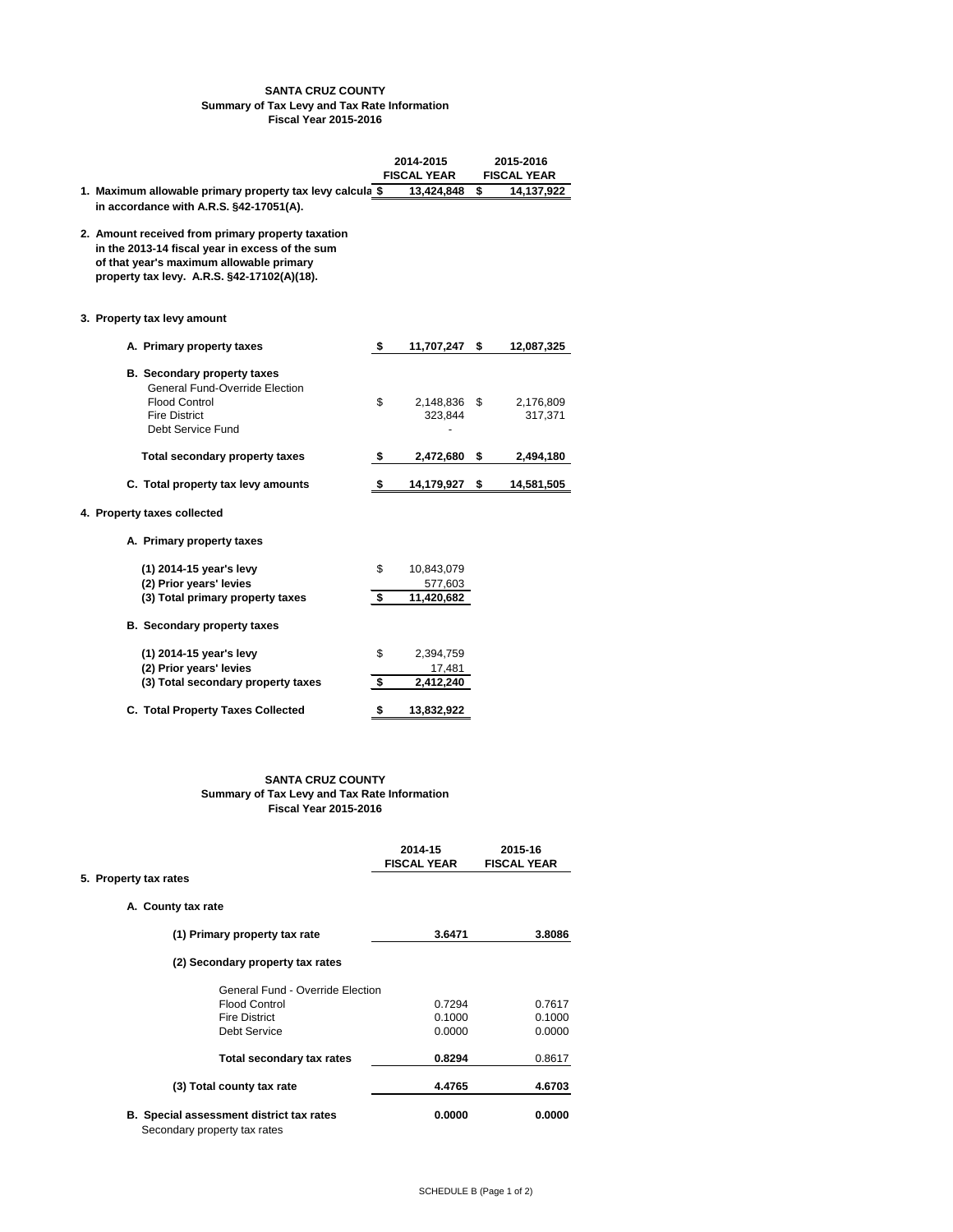# **SANTA CRUZ COUNTY Summary of Tax Levy and Tax Rate Information Fiscal Year 2015-2016**

|                                                                                                                                                                                                 | 2014-2015<br><b>FISCAL YEAR</b> |                         | 2015-2016<br><b>FISCAL YEAR</b> |
|-------------------------------------------------------------------------------------------------------------------------------------------------------------------------------------------------|---------------------------------|-------------------------|---------------------------------|
| 1. Maximum allowable primary property tax levy calcula \$<br>in accordance with A.R.S. §42-17051(A).                                                                                            |                                 | 13,424,848              | \$<br>14,137,922                |
| 2. Amount received from primary property taxation<br>in the 2013-14 fiscal year in excess of the sum<br>of that year's maximum allowable primary<br>property tax levy. A.R.S. §42-17102(A)(18). |                                 |                         |                                 |
| 3. Property tax levy amount                                                                                                                                                                     |                                 |                         |                                 |
| A. Primary property taxes                                                                                                                                                                       | \$                              | 11,707,247              | \$<br>12,087,325                |
| <b>B.</b> Secondary property taxes<br><b>General Fund-Override Election</b><br><b>Flood Control</b><br><b>Fire District</b><br><b>Debt Service Fund</b>                                         | $\mathfrak{L}$                  | 2,148,836 \$<br>323,844 | 2,176,809<br>317,371            |
| <b>Total secondary property taxes</b>                                                                                                                                                           | \$                              | 2,472,680               | \$<br>2,494,180                 |
| C. Total property tax levy amounts                                                                                                                                                              | \$                              | 14,179,927              | \$<br>14,581,505                |

### **4. Property taxes collected**

**A. Primary property taxes**

| (1) 2014-15 year's levy                  | \$ | 10,843,079 |
|------------------------------------------|----|------------|
| (2) Prior years' levies                  |    | 577,603    |
| (3) Total primary property taxes         | S  | 11,420,682 |
| <b>B.</b> Secondary property taxes       |    |            |
| (1) 2014-15 year's levy                  | \$ | 2,394,759  |
| (2) Prior years' levies                  |    | 17,481     |
| (3) Total secondary property taxes       | S  | 2,412,240  |
| <b>C. Total Property Taxes Collected</b> | \$ | 13,832,922 |

| 2014-15            | 2015-16            |
|--------------------|--------------------|
| <b>FISCAL YEAR</b> | <b>FISCAL YEAR</b> |

# **5. Property tax rates**

**A. County tax rate**

| (1) Primary property tax rate                                                   | 3.6471 | 3.8086 |
|---------------------------------------------------------------------------------|--------|--------|
| (2) Secondary property tax rates                                                |        |        |
| <b>General Fund - Override Election</b>                                         |        |        |
| <b>Flood Control</b>                                                            | 0.7294 | 0.7617 |
| <b>Fire District</b>                                                            | 0.1000 | 0.1000 |
| Debt Service                                                                    | 0.0000 | 0.0000 |
| <b>Total secondary tax rates</b>                                                | 0.8294 | 0.8617 |
| (3) Total county tax rate                                                       | 4.4765 | 4.6703 |
| <b>B.</b> Special assessment district tax rates<br>Secondary property tax rates | 0.0000 | 0.0000 |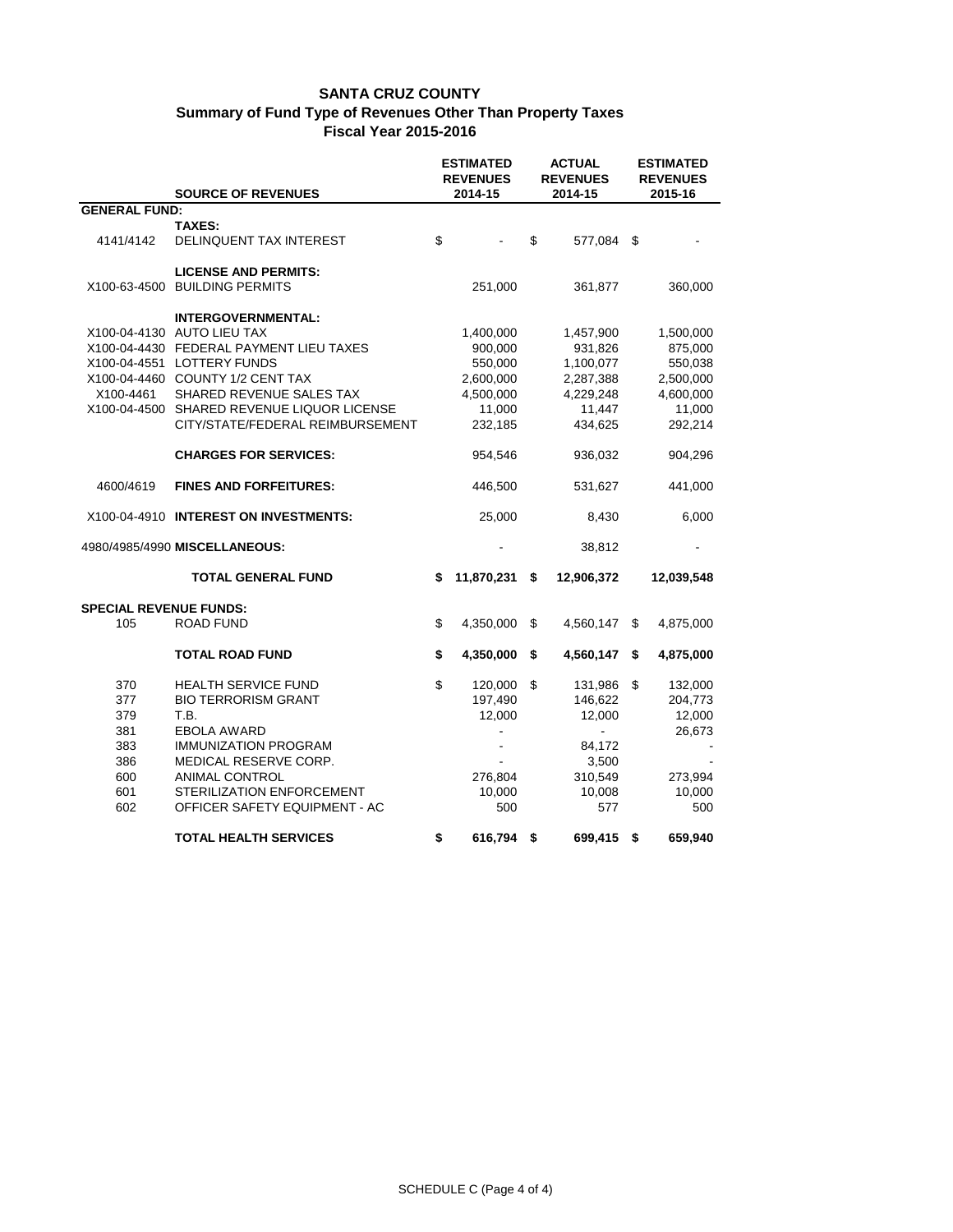|                                                             | <b>SOURCE OF REVENUES</b>                                                                                                                                                                                                                                             | <b>ESTIMATED</b><br><b>REVENUES</b><br>2014-15                                 | <b>ACTUAL</b><br><b>REVENUES</b><br>2014-15 |                                                                                  |                            | <b>ESTIMATED</b><br><b>REVENUES</b><br>2015-16                                 |  |  |
|-------------------------------------------------------------|-----------------------------------------------------------------------------------------------------------------------------------------------------------------------------------------------------------------------------------------------------------------------|--------------------------------------------------------------------------------|---------------------------------------------|----------------------------------------------------------------------------------|----------------------------|--------------------------------------------------------------------------------|--|--|
| <b>GENERAL FUND:</b>                                        |                                                                                                                                                                                                                                                                       |                                                                                |                                             |                                                                                  |                            |                                                                                |  |  |
|                                                             | <b>TAXES:</b>                                                                                                                                                                                                                                                         |                                                                                |                                             |                                                                                  |                            |                                                                                |  |  |
| 4141/4142                                                   | DELINQUENT TAX INTEREST                                                                                                                                                                                                                                               | \$                                                                             | \$                                          | 577,084                                                                          | \$                         |                                                                                |  |  |
| X100-63-4500                                                | <b>LICENSE AND PERMITS:</b><br><b>BUILDING PERMITS</b>                                                                                                                                                                                                                | 251,000                                                                        |                                             | 361,877                                                                          |                            | 360,000                                                                        |  |  |
| X100-4461<br>X100-04-4500                                   | <b>INTERGOVERNMENTAL:</b><br>X100-04-4130 AUTO LIEU TAX<br>X100-04-4430 FEDERAL PAYMENT LIEU TAXES<br>X100-04-4551 LOTTERY FUNDS<br>X100-04-4460 COUNTY 1/2 CENT TAX<br>SHARED REVENUE SALES TAX<br>SHARED REVENUE LIQUOR LICENSE<br>CITY/STATE/FEDERAL REIMBURSEMENT | 1,400,000<br>900,000<br>550,000<br>2,600,000<br>4,500,000<br>11,000<br>232,185 |                                             | 1,457,900<br>931,826<br>1,100,077<br>2,287,388<br>4,229,248<br>11,447<br>434,625 |                            | 1,500,000<br>875,000<br>550,038<br>2,500,000<br>4,600,000<br>11,000<br>292,214 |  |  |
|                                                             | <b>CHARGES FOR SERVICES:</b>                                                                                                                                                                                                                                          | 954,546                                                                        |                                             | 936,032                                                                          |                            | 904,296                                                                        |  |  |
| 4600/4619                                                   | <b>FINES AND FORFEITURES:</b>                                                                                                                                                                                                                                         | 446,500                                                                        |                                             | 531,627                                                                          |                            | 441,000                                                                        |  |  |
|                                                             | X100-04-4910 INTEREST ON INVESTMENTS:                                                                                                                                                                                                                                 | 25,000                                                                         |                                             | 8,430                                                                            |                            | 6,000                                                                          |  |  |
|                                                             | 4980/4985/4990 MISCELLANEOUS:                                                                                                                                                                                                                                         |                                                                                |                                             | 38,812                                                                           |                            |                                                                                |  |  |
|                                                             | <b>TOTAL GENERAL FUND</b>                                                                                                                                                                                                                                             | \$<br>11,870,231                                                               | \$                                          | 12,906,372                                                                       |                            | 12,039,548                                                                     |  |  |
| <b>SPECIAL REVENUE FUNDS:</b>                               |                                                                                                                                                                                                                                                                       |                                                                                |                                             |                                                                                  |                            |                                                                                |  |  |
| 105                                                         | <b>ROAD FUND</b>                                                                                                                                                                                                                                                      | \$<br>4,350,000                                                                | $\boldsymbol{\mathsf{S}}$                   | 4,560,147                                                                        | \$                         | 4,875,000                                                                      |  |  |
|                                                             | <b>TOTAL ROAD FUND</b>                                                                                                                                                                                                                                                | \$<br>4,350,000                                                                | \$                                          | 4,560,147                                                                        | \$                         | 4,875,000                                                                      |  |  |
| 370<br>377<br>379<br>381<br>383<br>386<br>600<br>601<br>602 | <b>HEALTH SERVICE FUND</b><br><b>BIO TERRORISM GRANT</b><br>T.B.<br><b>EBOLA AWARD</b><br><b>IMMUNIZATION PROGRAM</b><br>MEDICAL RESERVE CORP.<br><b>ANIMAL CONTROL</b><br>STERILIZATION ENFORCEMENT<br>OFFICER SAFETY EQUIPMENT - AC                                 | \$<br>120,000<br>197,490<br>12,000<br>276,804<br>10,000<br>500                 | \$                                          | 131,986<br>146,622<br>12,000<br>84,172<br>3,500<br>310,549<br>10,008<br>577      | $\boldsymbol{\mathsf{\$}}$ | 132,000<br>204,773<br>12,000<br>26,673<br>273,994<br>10,000<br>500             |  |  |
|                                                             | <b>TOTAL HEALTH SERVICES</b>                                                                                                                                                                                                                                          | \$<br>616,794                                                                  | \$                                          | 699,415 \$                                                                       |                            | 659,940                                                                        |  |  |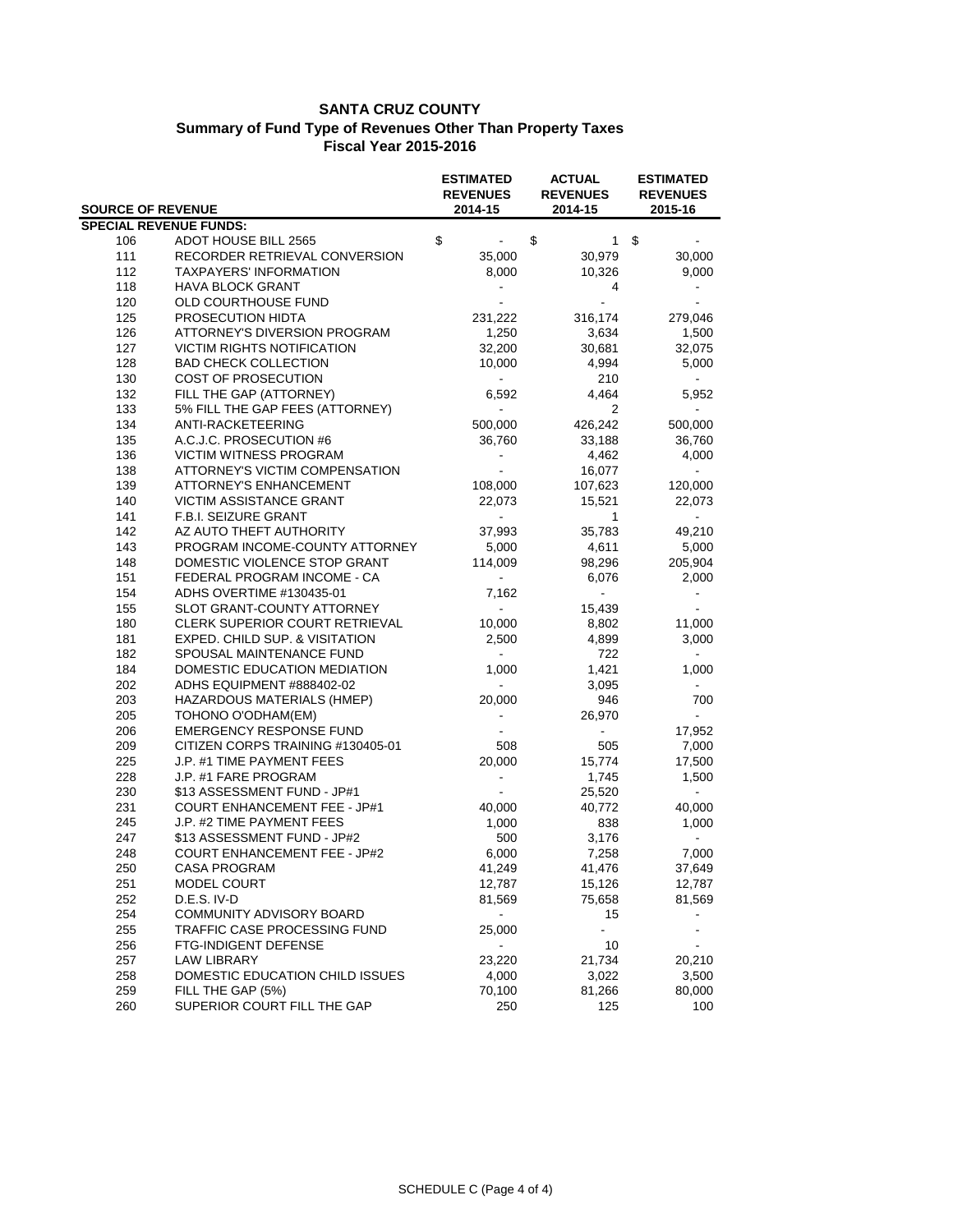| <b>SOURCE OF REVENUE</b> |                                       | <b>ESTIMATED</b><br><b>REVENUES</b> | <b>ACTUAL</b><br><b>REVENUES</b> | <b>ESTIMATED</b><br><b>REVENUES</b> |  |
|--------------------------|---------------------------------------|-------------------------------------|----------------------------------|-------------------------------------|--|
|                          |                                       | 2014-15                             | 2014-15                          | 2015-16                             |  |
|                          | <b>SPECIAL REVENUE FUNDS:</b>         |                                     |                                  |                                     |  |
| 106                      | <b>ADOT HOUSE BILL 2565</b>           | \$                                  | \$<br>$\mathbf{1}$               | \$                                  |  |
| 111                      | RECORDER RETRIEVAL CONVERSION         | 35,000                              | 30,979                           | 30,000                              |  |
| 112                      | <b>TAXPAYERS' INFORMATION</b>         | 8,000                               | 10,326                           | 9,000                               |  |
| 118                      | <b>HAVA BLOCK GRANT</b>               |                                     | $\overline{4}$                   |                                     |  |
| 120                      | OLD COURTHOUSE FUND                   |                                     |                                  |                                     |  |
| 125                      | PROSECUTION HIDTA                     | 231,222                             | 316,174                          | 279,046                             |  |
| 126                      | <b>ATTORNEY'S DIVERSION PROGRAM</b>   | 1,250                               | 3,634                            | 1,500                               |  |
| 127                      | <b>VICTIM RIGHTS NOTIFICATION</b>     | 32,200                              | 30,681                           | 32,075                              |  |
| 128                      | <b>BAD CHECK COLLECTION</b>           | 10,000                              | 4,994                            | 5,000                               |  |
| 130                      | <b>COST OF PROSECUTION</b>            | $\blacksquare$                      | 210                              |                                     |  |
| 132                      | FILL THE GAP (ATTORNEY)               | 6,592                               | 4,464                            | 5,952                               |  |
| 133                      | 5% FILL THE GAP FEES (ATTORNEY)       | $\blacksquare$                      | $\overline{2}$                   |                                     |  |
| 134                      | ANTI-RACKETEERING                     | 500,000                             | 426,242                          | 500,000                             |  |
| 135                      | A.C.J.C. PROSECUTION #6               | 36,760                              | 33,188                           | 36,760                              |  |
| 136                      | <b>VICTIM WITNESS PROGRAM</b>         |                                     | 4,462                            | 4,000                               |  |
| 138                      | <b>ATTORNEY'S VICTIM COMPENSATION</b> |                                     | 16,077                           |                                     |  |
| 139                      | <b>ATTORNEY'S ENHANCEMENT</b>         | 108,000                             | 107,623                          | 120,000                             |  |
| 140                      | <b>VICTIM ASSISTANCE GRANT</b>        | 22,073                              | 15,521                           | 22,073                              |  |
| 141                      | F.B.I. SEIZURE GRANT                  |                                     | 1                                |                                     |  |
| 142                      | AZ AUTO THEFT AUTHORITY               | 37,993                              | 35,783                           | 49,210                              |  |
| 143                      | PROGRAM INCOME-COUNTY ATTORNEY        | 5,000                               | 4,611                            | 5,000                               |  |
| 148                      | DOMESTIC VIOLENCE STOP GRANT          | 114,009                             | 98,296                           | 205,904                             |  |
| 151                      | FEDERAL PROGRAM INCOME - CA           |                                     | 6,076                            | 2,000                               |  |
| 154                      | ADHS OVERTIME #130435-01              | 7,162                               |                                  |                                     |  |
| 155                      | SLOT GRANT-COUNTY ATTORNEY            | $\overline{a}$                      | 15,439                           |                                     |  |
| 180                      | CLERK SUPERIOR COURT RETRIEVAL        | 10,000                              | 8,802                            | 11,000                              |  |
| 181                      | EXPED. CHILD SUP. & VISITATION        | 2,500                               | 4,899                            | 3,000                               |  |
| 182                      | SPOUSAL MAINTENANCE FUND              | $\sim$                              | 722                              | $\sim$                              |  |
| 184                      | DOMESTIC EDUCATION MEDIATION          | 1,000                               | 1,421                            | 1,000                               |  |
| 202                      | ADHS EQUIPMENT #888402-02             | $\blacksquare$                      | 3,095                            |                                     |  |
| 203                      | HAZARDOUS MATERIALS (HMEP)            | 20,000                              | 946                              | 700                                 |  |
| 205                      | TOHONO O'ODHAM(EM)                    |                                     | 26,970                           |                                     |  |
| 206                      | <b>EMERGENCY RESPONSE FUND</b>        |                                     |                                  | 17,952                              |  |
| 209                      | CITIZEN CORPS TRAINING #130405-01     | 508                                 | 505                              | 7,000                               |  |
| 225                      | J.P. #1 TIME PAYMENT FEES             | 20,000                              | 15,774                           | 17,500                              |  |
| 228                      | J.P. #1 FARE PROGRAM                  |                                     | 1,745                            | 1,500                               |  |
| 230                      | \$13 ASSESSMENT FUND - JP#1           |                                     | 25,520                           |                                     |  |
| 231                      | <b>COURT ENHANCEMENT FEE - JP#1</b>   | 40,000                              | 40,772                           | 40,000                              |  |
| 245                      | J.P. #2 TIME PAYMENT FEES             | 1,000                               | 838                              | 1,000                               |  |
| 247                      | \$13 ASSESSMENT FUND - JP#2           | 500                                 | 3,176                            |                                     |  |
| 248                      | <b>COURT ENHANCEMENT FEE - JP#2</b>   | 6,000                               | 7,258                            | 7,000                               |  |
| 250                      | <b>CASA PROGRAM</b>                   | 41,249                              | 41,476                           | 37,649                              |  |
| 251                      | MODEL COURT                           | 12,787                              | 15,126                           | 12,787                              |  |
| 252                      | D.E.S. IV-D                           | 81,569                              | 75,658                           | 81,569                              |  |
| 254                      | COMMUNITY ADVISORY BOARD              |                                     | 15                               |                                     |  |
| 255                      | TRAFFIC CASE PROCESSING FUND          | 25,000                              |                                  |                                     |  |
| 256                      | FTG-INDIGENT DEFENSE                  | ۰                                   | 10                               |                                     |  |
| 257                      | <b>LAW LIBRARY</b>                    | 23,220                              | 21,734                           | 20,210                              |  |
| 258                      | DOMESTIC EDUCATION CHILD ISSUES       |                                     | 3,022                            | 3,500                               |  |
|                          |                                       | 4,000                               |                                  |                                     |  |
| 259                      | FILL THE GAP (5%)                     | 70,100                              | 81,266                           | 80,000                              |  |
| 260                      | SUPERIOR COURT FILL THE GAP           | 250                                 | 125                              | 100                                 |  |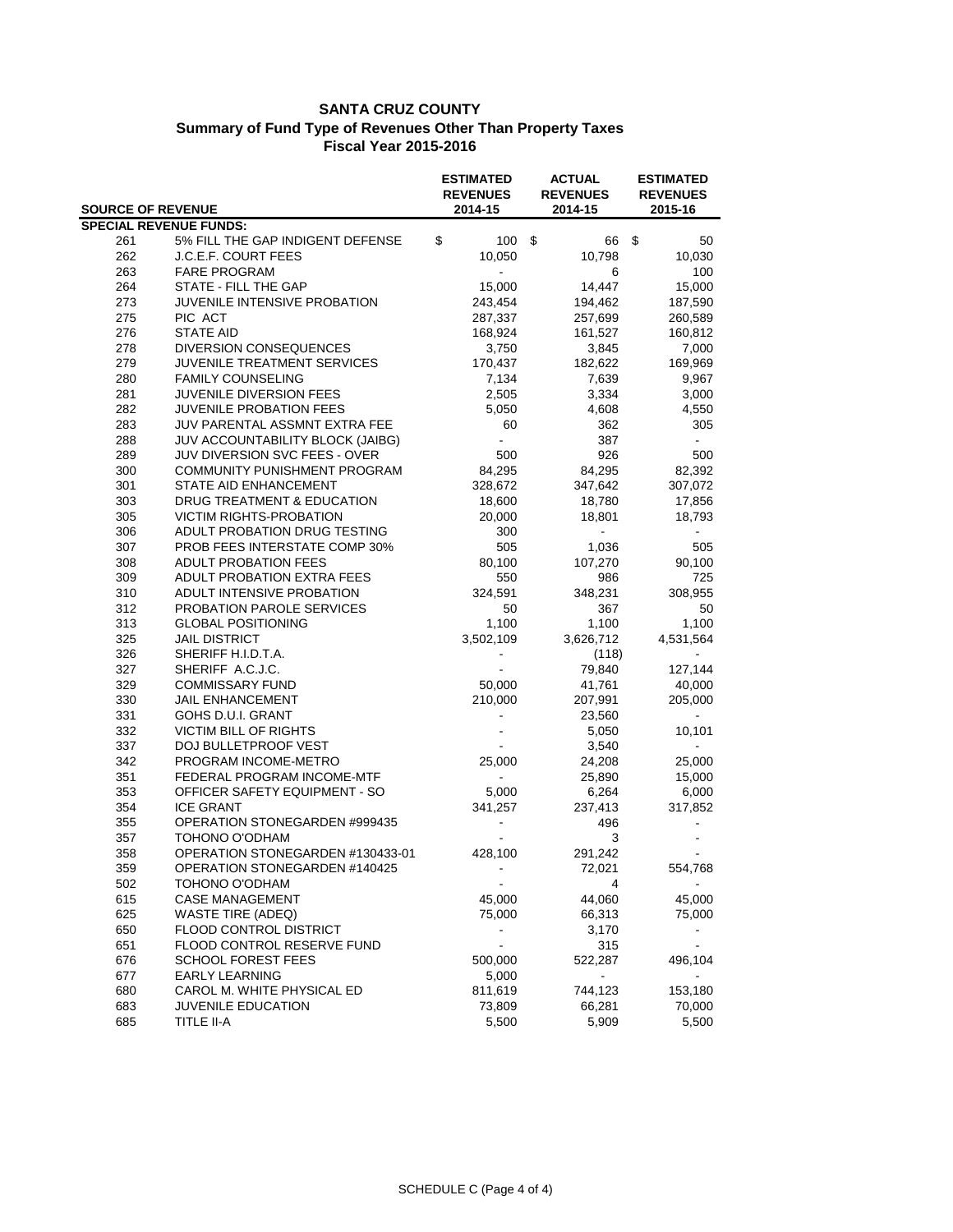|            | <b>ACTUAL</b><br><b>ESTIMATED</b><br><b>REVENUES</b><br><b>REVENUES</b><br><b>SOURCE OF REVENUE</b><br>2014-15<br>2014-15 |                 | <b>ESTIMATED</b><br><b>REVENUES</b><br>2015-16 |                 |
|------------|---------------------------------------------------------------------------------------------------------------------------|-----------------|------------------------------------------------|-----------------|
|            | <b>SPECIAL REVENUE FUNDS:</b>                                                                                             |                 |                                                |                 |
| 261        | 5% FILL THE GAP INDIGENT DEFENSE                                                                                          | \$<br>100S      | 66                                             | \$<br>50        |
| 262        | <b>J.C.E.F. COURT FEES</b>                                                                                                | 10,050          | 10,798                                         | 10,030          |
| 263        | <b>FARE PROGRAM</b>                                                                                                       |                 | 6                                              | 100             |
| 264        | STATE - FILL THE GAP                                                                                                      | 15,000          | 14,447                                         | 15,000          |
| 273        | JUVENILE INTENSIVE PROBATION                                                                                              | 243,454         | 194,462                                        | 187,590         |
| 275        | PIC ACT                                                                                                                   | 287,337         | 257,699                                        | 260,589         |
| 276        | <b>STATE AID</b>                                                                                                          | 168,924         | 161,527                                        | 160,812         |
| 278        | <b>DIVERSION CONSEQUENCES</b>                                                                                             | 3,750           | 3,845                                          | 7,000           |
| 279        | JUVENILE TREATMENT SERVICES                                                                                               | 170,437         | 182,622                                        | 169,969         |
| 280        | <b>FAMILY COUNSELING</b>                                                                                                  | 7,134           | 7,639                                          | 9,967           |
| 281        | JUVENILE DIVERSION FEES                                                                                                   | 2,505           | 3,334                                          | 3,000           |
| 282        | <b>JUVENILE PROBATION FEES</b>                                                                                            | 5,050           | 4,608                                          | 4,550           |
| 283        | JUV PARENTAL ASSMNT EXTRA FEE                                                                                             | 60              | 362                                            | 305             |
| 288        | <b>JUV ACCOUNTABILITY BLOCK (JAIBG)</b>                                                                                   |                 | 387                                            |                 |
| 289        | JUV DIVERSION SVC FEES - OVER                                                                                             | 500             | 926                                            | 500             |
| 300        | COMMUNITY PUNISHMENT PROGRAM                                                                                              | 84,295          | 84,295                                         | 82,392          |
| 301        | STATE AID ENHANCEMENT                                                                                                     | 328,672         | 347,642                                        | 307,072         |
| 303        | DRUG TREATMENT & EDUCATION                                                                                                | 18,600          | 18,780                                         | 17,856          |
| 305        | <b>VICTIM RIGHTS-PROBATION</b>                                                                                            | 20,000          | 18,801                                         | 18,793          |
| 306        | ADULT PROBATION DRUG TESTING                                                                                              | 300             |                                                |                 |
| 307        | PROB FEES INTERSTATE COMP 30%                                                                                             | 505             | 1,036                                          | 505             |
| 308        | <b>ADULT PROBATION FEES</b>                                                                                               | 80,100          | 107,270                                        | 90,100          |
| 309        | ADULT PROBATION EXTRA FEES                                                                                                | 550             | 986                                            | 725             |
| 310        | ADULT INTENSIVE PROBATION                                                                                                 | 324,591         | 348,231                                        | 308,955         |
| 312        | PROBATION PAROLE SERVICES                                                                                                 | 50              | 367                                            | 50              |
| 313        | <b>GLOBAL POSITIONING</b>                                                                                                 | 1,100           | 1,100                                          | 1,100           |
| 325        | <b>JAIL DISTRICT</b>                                                                                                      | 3,502,109       | 3,626,712                                      | 4,531,564       |
| 326        | SHERIFF H.I.D.T.A.                                                                                                        |                 | (118)                                          | $\sim$          |
| 327        | SHERIFF A.C.J.C.                                                                                                          |                 | 79,840                                         | 127,144         |
| 329        | <b>COMMISSARY FUND</b>                                                                                                    | 50,000          | 41,761                                         | 40,000          |
| 330        | <b>JAIL ENHANCEMENT</b>                                                                                                   | 210,000         | 207,991                                        | 205,000         |
| 331        | GOHS D.U.I. GRANT                                                                                                         |                 | 23,560                                         |                 |
| 332        | <b>VICTIM BILL OF RIGHTS</b>                                                                                              |                 | 5,050                                          | 10,101          |
| 337        | DOJ BULLETPROOF VEST                                                                                                      |                 | 3,540                                          |                 |
| 342        | PROGRAM INCOME-METRO                                                                                                      | 25,000          | 24,208                                         | 25,000          |
| 351        | FEDERAL PROGRAM INCOME-MTF                                                                                                |                 | 25,890                                         | 15,000          |
| 353        | OFFICER SAFETY EQUIPMENT - SO                                                                                             | 5,000           | 6,264                                          | 6,000           |
| 354        | <b>ICE GRANT</b>                                                                                                          | 341,257         | 237,413                                        | 317,852         |
| 355        | OPERATION STONEGARDEN #999435                                                                                             |                 | 496                                            |                 |
| 357        | TOHONO O'ODHAM                                                                                                            |                 | 3                                              |                 |
| 358        | OPERATION STONEGARDEN #130433-01                                                                                          | 428,100         | 291,242                                        |                 |
| 359        | OPERATION STONEGARDEN #140425                                                                                             |                 | 72,021                                         | 554,768         |
| 502        | TOHONO O'ODHAM                                                                                                            |                 | $\overline{4}$                                 |                 |
| 615        | <b>CASE MANAGEMENT</b>                                                                                                    | 45,000          | 44,060                                         | 45,000          |
| 625        | <b>WASTE TIRE (ADEQ)</b>                                                                                                  | 75,000          | 66,313                                         | 75,000          |
| 650        | FLOOD CONTROL DISTRICT                                                                                                    |                 | 3,170                                          |                 |
| 651        | FLOOD CONTROL RESERVE FUND                                                                                                |                 | 315                                            |                 |
| 676        | <b>SCHOOL FOREST FEES</b>                                                                                                 | 500,000         | 522,287                                        | 496,104         |
| 677        | <b>EARLY LEARNING</b>                                                                                                     | 5,000           | ÷,                                             |                 |
| 680        | CAROL M. WHITE PHYSICAL ED                                                                                                | 811,619         | 744,123                                        | 153,180         |
| 683<br>685 | <b>JUVENILE EDUCATION</b><br><b>TITLE II-A</b>                                                                            | 73,809<br>5,500 | 66,281<br>5,909                                | 70,000<br>5,500 |
|            |                                                                                                                           |                 |                                                |                 |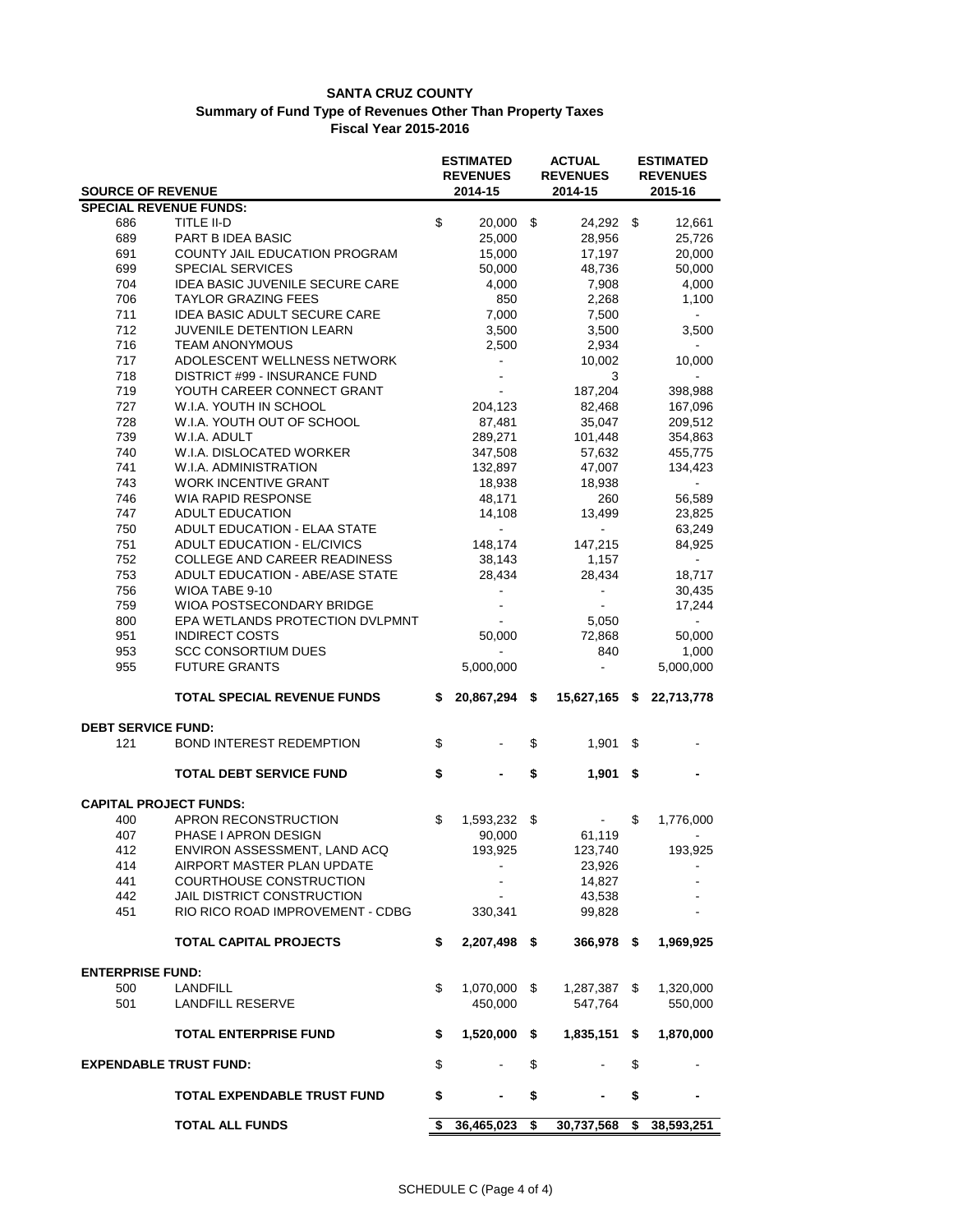|                               |                                                             |                | <b>ESTIMATED</b><br><b>REVENUES</b> |         | <b>ACTUAL</b><br><b>REVENUES</b> | <b>ESTIMATED</b><br><b>REVENUES</b> |                          |  |
|-------------------------------|-------------------------------------------------------------|----------------|-------------------------------------|---------|----------------------------------|-------------------------------------|--------------------------|--|
| <b>SOURCE OF REVENUE</b>      |                                                             |                | 2014-15                             | 2014-15 |                                  | 2015-16                             |                          |  |
| <b>SPECIAL REVENUE FUNDS:</b> |                                                             |                |                                     |         |                                  |                                     |                          |  |
| 686                           | <b>TITLE II-D</b>                                           | $\mathfrak{S}$ | $20,000$ \$                         |         | 24,292 \$                        |                                     | 12,661                   |  |
| 689                           | PART B IDEA BASIC                                           |                | 25,000                              |         | 28,956                           |                                     | 25,726                   |  |
| 691                           | COUNTY JAIL EDUCATION PROGRAM                               |                | 15,000                              |         | 17,197                           |                                     | 20,000                   |  |
| 699                           | <b>SPECIAL SERVICES</b>                                     |                | 50,000                              |         | 48,736                           |                                     | 50,000                   |  |
| 704                           | <b>IDEA BASIC JUVENILE SECURE CARE</b>                      |                | 4,000                               |         | 7,908                            |                                     | 4,000                    |  |
| 706                           | <b>TAYLOR GRAZING FEES</b>                                  |                | 850                                 |         | 2,268                            |                                     | 1,100                    |  |
| 711                           | <b>IDEA BASIC ADULT SECURE CARE</b>                         |                | 7,000                               |         | 7,500                            |                                     |                          |  |
| 712                           | JUVENILE DETENTION LEARN                                    |                | 3,500                               |         | 3,500                            |                                     | 3,500                    |  |
| 716<br>717                    | <b>TEAM ANONYMOUS</b>                                       |                | 2,500                               |         | 2,934                            |                                     |                          |  |
| 718                           | ADOLESCENT WELLNESS NETWORK                                 |                | ÷,                                  |         | 10,002<br>3                      |                                     | 10,000                   |  |
| 719                           | DISTRICT #99 - INSURANCE FUND<br>YOUTH CAREER CONNECT GRANT |                | $\blacksquare$                      |         | 187,204                          |                                     | 398,988                  |  |
| 727                           | W.I.A. YOUTH IN SCHOOL                                      |                | 204,123                             |         | 82,468                           |                                     | 167,096                  |  |
| 728                           | W.I.A. YOUTH OUT OF SCHOOL                                  |                | 87,481                              |         | 35,047                           |                                     | 209,512                  |  |
| 739                           | W.I.A. ADULT                                                |                | 289,271                             |         | 101,448                          |                                     | 354,863                  |  |
| 740                           | W.I.A. DISLOCATED WORKER                                    |                | 347,508                             |         | 57,632                           |                                     |                          |  |
| 741                           | W.I.A. ADMINISTRATION                                       |                |                                     |         | 47,007                           |                                     | 455,775                  |  |
| 743                           | <b>WORK INCENTIVE GRANT</b>                                 |                | 132,897<br>18,938                   |         | 18,938                           |                                     | 134,423                  |  |
| 746                           | <b>WIA RAPID RESPONSE</b>                                   |                | 48,171                              |         | 260                              |                                     |                          |  |
| 747                           | <b>ADULT EDUCATION</b>                                      |                | 14,108                              |         |                                  |                                     | 56,589                   |  |
| 750                           | ADULT EDUCATION - ELAA STATE                                |                | $\sim$                              |         | 13,499<br>$\sim$                 |                                     | 23,825<br>63,249         |  |
| 751                           | <b>ADULT EDUCATION - EL/CIVICS</b>                          |                | 148,174                             |         | 147,215                          |                                     |                          |  |
| 752                           | COLLEGE AND CAREER READINESS                                |                | 38,143                              |         | 1,157                            |                                     | 84,925                   |  |
| 753                           | ADULT EDUCATION - ABE/ASE STATE                             |                | 28,434                              |         | 28,434                           |                                     | 18,717                   |  |
| 756                           | WIOA TABE 9-10                                              |                |                                     |         |                                  |                                     | 30,435                   |  |
| 759                           | WIOA POSTSECONDARY BRIDGE                                   |                |                                     |         |                                  |                                     | 17,244                   |  |
| 800                           | EPA WETLANDS PROTECTION DVLPMNT                             |                |                                     |         | 5,050                            |                                     | $\sim$                   |  |
| 951                           | <b>INDIRECT COSTS</b>                                       |                | 50,000                              |         | 72,868                           |                                     | 50,000                   |  |
| 953                           | <b>SCC CONSORTIUM DUES</b>                                  |                |                                     |         | 840                              |                                     | 1,000                    |  |
| 955                           | <b>FUTURE GRANTS</b>                                        |                | 5,000,000                           |         |                                  |                                     | 5,000,000                |  |
|                               |                                                             |                |                                     |         |                                  |                                     |                          |  |
|                               | <b>TOTAL SPECIAL REVENUE FUNDS</b>                          |                | $$20,867,294$ \$                    |         |                                  |                                     | 15,627,165 \$ 22,713,778 |  |
| <b>DEBT SERVICE FUND:</b>     |                                                             |                |                                     |         |                                  |                                     |                          |  |
| 121                           | <b>BOND INTEREST REDEMPTION</b>                             | \$             |                                     | \$      | 1,901                            | \$                                  |                          |  |
|                               |                                                             |                |                                     |         |                                  |                                     |                          |  |
|                               | <b>TOTAL DEBT SERVICE FUND</b>                              | \$             |                                     | \$      | 1,901                            | \$                                  |                          |  |
| <b>CAPITAL PROJECT FUNDS:</b> |                                                             |                |                                     |         |                                  |                                     |                          |  |
| 400                           | APRON RECONSTRUCTION                                        | $\mathfrak{S}$ | 1,593,232 \$                        |         | $\sim 100$                       | \$                                  | 1,776,000                |  |
| 407                           | PHASE I APRON DESIGN                                        |                | 90,000                              |         | 61,119                           |                                     |                          |  |
| 412                           | ENVIRON ASSESSMENT, LAND ACQ                                |                | 193,925                             |         | 123,740                          |                                     | 193,925                  |  |
| 414                           | AIRPORT MASTER PLAN UPDATE                                  |                |                                     |         | 23,926                           |                                     |                          |  |
| 441                           | <b>COURTHOUSE CONSTRUCTION</b>                              |                |                                     |         | 14,827                           |                                     |                          |  |
| 442                           | JAIL DISTRICT CONSTRUCTION                                  |                |                                     |         | 43,538                           |                                     |                          |  |
| 451                           | RIO RICO ROAD IMPROVEMENT - CDBG                            |                | 330,341                             |         | 99,828                           |                                     |                          |  |
|                               | <b>TOTAL CAPITAL PROJECTS</b>                               | \$             | 2,207,498 \$                        |         | 366,978 \$                       |                                     | 1,969,925                |  |
| <b>ENTERPRISE FUND:</b>       |                                                             |                |                                     |         |                                  |                                     |                          |  |
| 500                           | <b>LANDFILL</b>                                             | \$             | 1,070,000                           | \$      | 1,287,387 \$                     |                                     | 1,320,000                |  |
| 501                           | <b>LANDFILL RESERVE</b>                                     |                | 450,000                             |         | 547,764                          |                                     | 550,000                  |  |
|                               | <b>TOTAL ENTERPRISE FUND</b>                                | \$             | 1,520,000                           | \$      | 1,835,151                        | S.                                  | 1,870,000                |  |
| <b>EXPENDABLE TRUST FUND:</b> |                                                             | \$             |                                     | \$      |                                  | \$                                  |                          |  |
|                               | <b>TOTAL EXPENDABLE TRUST FUND</b>                          | \$             |                                     | \$      |                                  | \$                                  |                          |  |
|                               | <b>TOTAL ALL FUNDS</b>                                      | \$             | 36,465,023                          | \$      | 30,737,568                       | $$^{\circ}$                         | 38,593,251               |  |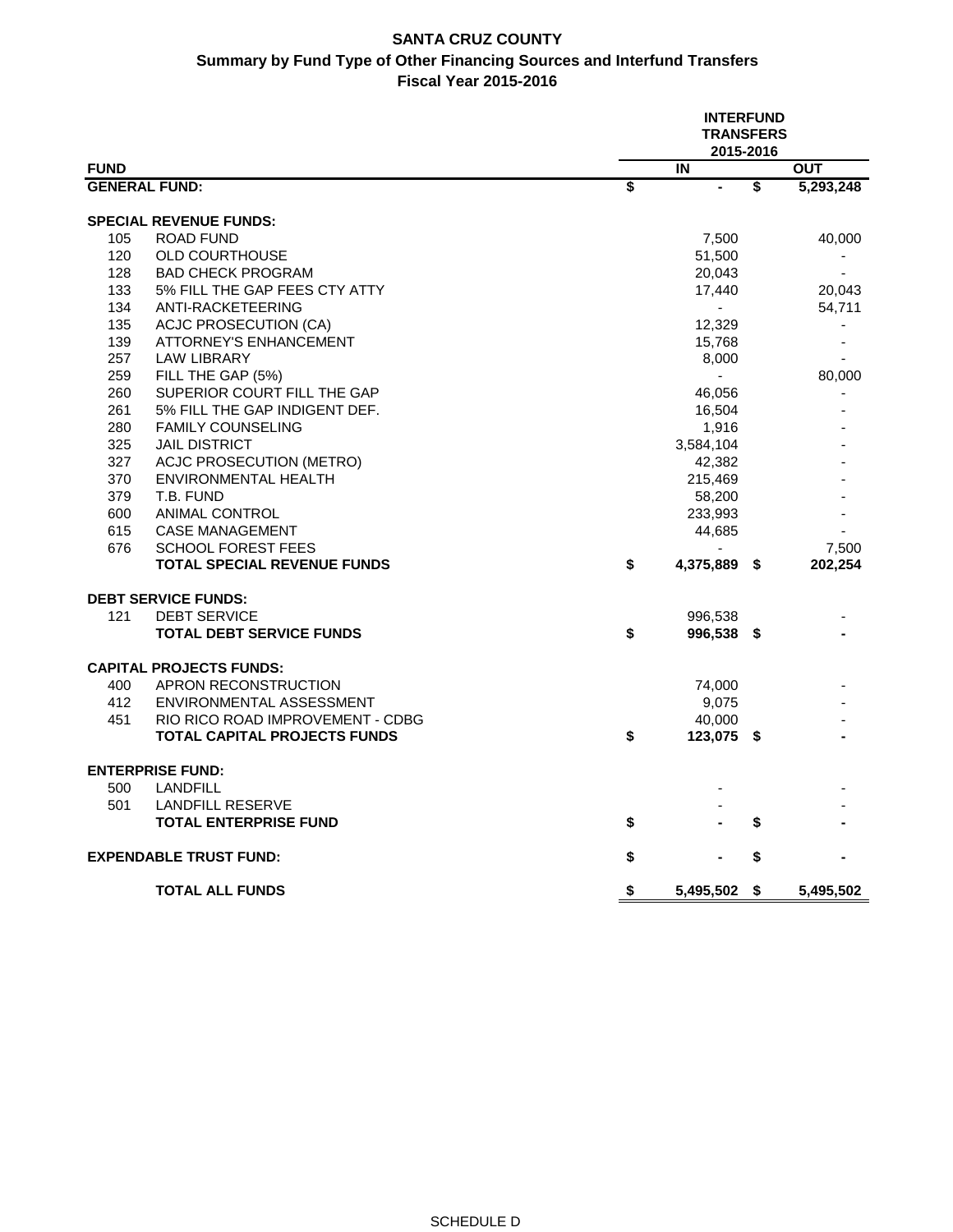### **SANTA CRUZ COUNTY Summary by Fund Type of Other Financing Sources and Interfund Transfers Fiscal Year 2015-2016**

|                      |                                    | <b>INTERFUND</b><br><b>TRANSFERS</b><br>2015-2016 |                          |    |            |  |  |  |  |
|----------------------|------------------------------------|---------------------------------------------------|--------------------------|----|------------|--|--|--|--|
| <b>FUND</b>          |                                    |                                                   | IN                       |    | <b>OUT</b> |  |  |  |  |
| <b>GENERAL FUND:</b> |                                    | \$                                                | $\blacksquare$           | \$ | 5,293,248  |  |  |  |  |
|                      | <b>SPECIAL REVENUE FUNDS:</b>      |                                                   |                          |    |            |  |  |  |  |
| 105                  | <b>ROAD FUND</b>                   |                                                   | 7,500                    |    | 40,000     |  |  |  |  |
| 120                  | <b>OLD COURTHOUSE</b>              |                                                   | 51,500                   |    |            |  |  |  |  |
| 128                  | <b>BAD CHECK PROGRAM</b>           |                                                   | 20,043                   |    |            |  |  |  |  |
| 133                  | 5% FILL THE GAP FEES CTY ATTY      |                                                   | 17,440                   |    | 20,043     |  |  |  |  |
| 134                  | ANTI-RACKETEERING                  |                                                   | $\overline{\phantom{a}}$ |    | 54,711     |  |  |  |  |
| 135                  | <b>ACJC PROSECUTION (CA)</b>       |                                                   | 12,329                   |    |            |  |  |  |  |
| 139                  | <b>ATTORNEY'S ENHANCEMENT</b>      |                                                   | 15,768                   |    |            |  |  |  |  |
| 257                  | <b>LAW LIBRARY</b>                 |                                                   | 8,000                    |    |            |  |  |  |  |
| 259                  | FILL THE GAP (5%)                  |                                                   |                          |    | 80,000     |  |  |  |  |
| 260                  | SUPERIOR COURT FILL THE GAP        |                                                   | 46,056                   |    |            |  |  |  |  |
| 261                  | 5% FILL THE GAP INDIGENT DEF.      |                                                   | 16,504                   |    |            |  |  |  |  |
| 280                  | <b>FAMILY COUNSELING</b>           |                                                   | 1,916                    |    |            |  |  |  |  |
| 325                  | <b>JAIL DISTRICT</b>               |                                                   | 3,584,104                |    |            |  |  |  |  |
| 327                  | <b>ACJC PROSECUTION (METRO)</b>    |                                                   | 42,382                   |    |            |  |  |  |  |
| 370                  | <b>ENVIRONMENTAL HEALTH</b>        |                                                   | 215,469                  |    |            |  |  |  |  |
| 379                  | T.B. FUND                          |                                                   | 58,200                   |    |            |  |  |  |  |
| 600                  | <b>ANIMAL CONTROL</b>              |                                                   | 233,993                  |    |            |  |  |  |  |
| 615                  | <b>CASE MANAGEMENT</b>             |                                                   | 44,685                   |    |            |  |  |  |  |
| 676                  | <b>SCHOOL FOREST FEES</b>          |                                                   |                          |    | 7,500      |  |  |  |  |
|                      | <b>TOTAL SPECIAL REVENUE FUNDS</b> | \$                                                | 4,375,889 \$             |    | 202,254    |  |  |  |  |
|                      | <b>DEBT SERVICE FUNDS:</b>         |                                                   |                          |    |            |  |  |  |  |
| 121                  | <b>DEBT SERVICE</b>                |                                                   | 996,538                  |    |            |  |  |  |  |
|                      | <b>TOTAL DEBT SERVICE FUNDS</b>    | \$                                                | 996,538 \$               |    |            |  |  |  |  |
|                      | <b>CAPITAL PROJECTS FUNDS:</b>     |                                                   |                          |    |            |  |  |  |  |
| 400                  | APRON RECONSTRUCTION               |                                                   | 74,000                   |    |            |  |  |  |  |
| 412                  | ENVIRONMENTAL ASSESSMENT           |                                                   | 9,075                    |    |            |  |  |  |  |
| 451                  | RIO RICO ROAD IMPROVEMENT - CDBG   |                                                   | 40,000                   |    |            |  |  |  |  |
|                      | TOTAL CAPITAL PROJECTS FUNDS       | \$                                                | 123,075 \$               |    |            |  |  |  |  |
|                      | <b>ENTERPRISE FUND:</b>            |                                                   |                          |    |            |  |  |  |  |
| 500                  | <b>LANDFILL</b>                    |                                                   |                          |    |            |  |  |  |  |
| 501                  | <b>LANDFILL RESERVE</b>            |                                                   |                          |    |            |  |  |  |  |
|                      | <b>TOTAL ENTERPRISE FUND</b>       | \$                                                |                          | \$ |            |  |  |  |  |
|                      | <b>EXPENDABLE TRUST FUND:</b>      | \$                                                |                          | \$ |            |  |  |  |  |
|                      | <b>TOTAL ALL FUNDS</b>             | \$                                                | 5,495,502 \$             |    | 5,495,502  |  |  |  |  |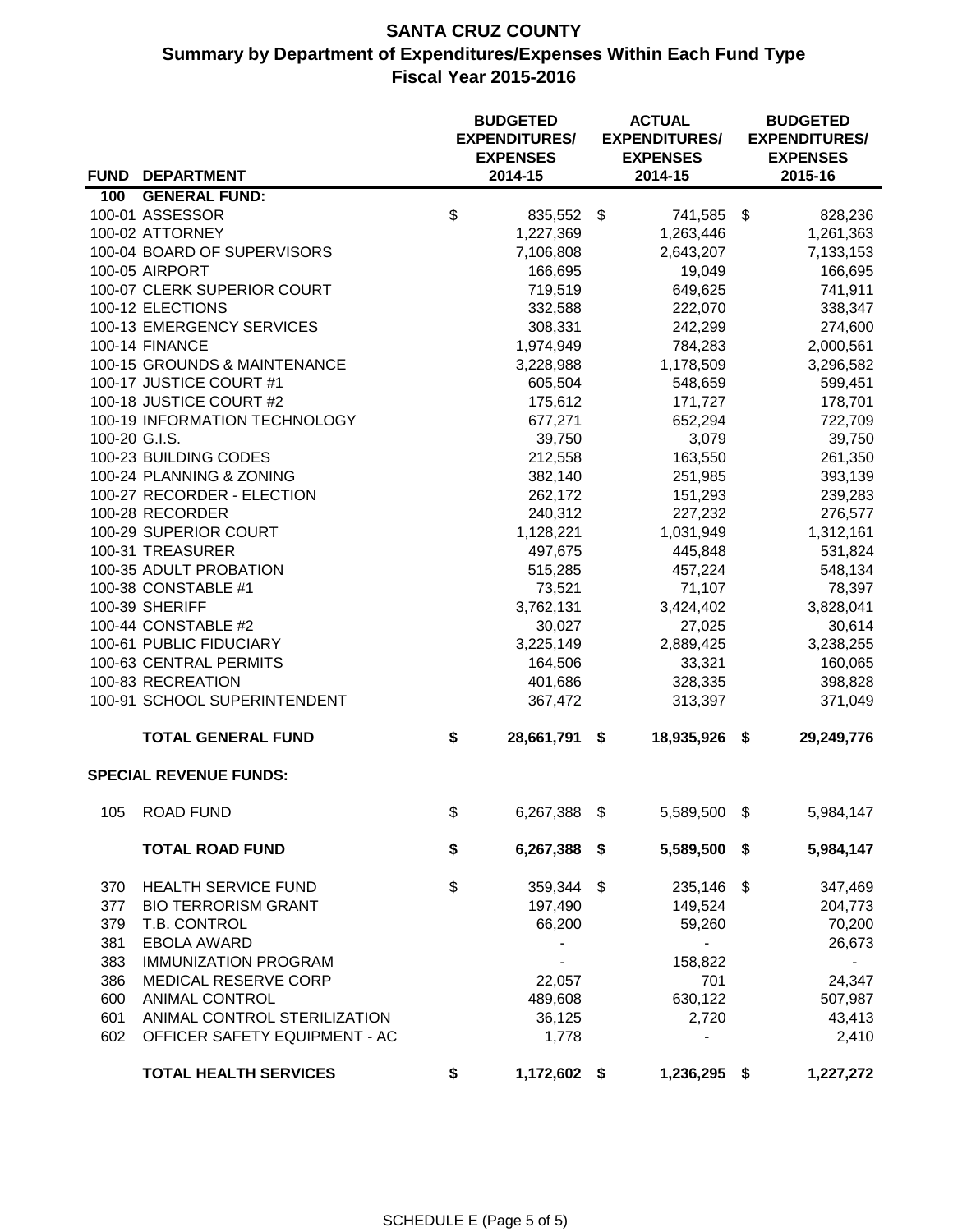# **SANTA CRUZ COUNTY Summary by Department of Expenditures/Expenses Within Each Fund Type Fiscal Year 2015-2016**

|               |                                       |                           | <b>BUDGETED</b><br><b>EXPENDITURES/</b><br><b>EXPENSES</b> |      | <b>ACTUAL</b><br><b>EXPENDITURES/</b><br><b>EXPENSES</b> | <b>BUDGETED</b><br><b>EXPENDITURES/</b><br><b>EXPENSES</b> |                     |  |
|---------------|---------------------------------------|---------------------------|------------------------------------------------------------|------|----------------------------------------------------------|------------------------------------------------------------|---------------------|--|
|               | FUND DEPARTMENT                       |                           | 2014-15                                                    |      | 2014-15                                                  |                                                            | 2015-16             |  |
| 100           | <b>GENERAL FUND:</b>                  |                           |                                                            |      |                                                          |                                                            |                     |  |
|               | 100-01 ASSESSOR                       | $\boldsymbol{\mathsf{S}}$ | 835,552                                                    | \$   | 741,585 \$                                               |                                                            | 828,236             |  |
|               | 100-02 ATTORNEY                       |                           | 1,227,369                                                  |      | 1,263,446                                                |                                                            | 1,261,363           |  |
|               | 100-04 BOARD OF SUPERVISORS           |                           | 7,106,808                                                  |      | 2,643,207                                                |                                                            | 7,133,153           |  |
|               | 100-05 AIRPORT                        |                           | 166,695                                                    |      | 19,049                                                   |                                                            | 166,695             |  |
|               | 100-07 CLERK SUPERIOR COURT           |                           | 719,519                                                    |      | 649,625                                                  |                                                            | 741,911             |  |
|               | 100-12 ELECTIONS                      |                           | 332,588                                                    |      | 222,070                                                  |                                                            | 338,347             |  |
|               | 100-13 EMERGENCY SERVICES             |                           | 308,331                                                    |      | 242,299                                                  |                                                            | 274,600             |  |
|               | 100-14 FINANCE                        |                           | 1,974,949                                                  |      | 784,283                                                  |                                                            | 2,000,561           |  |
|               | 100-15 GROUNDS & MAINTENANCE          |                           | 3,228,988                                                  |      | 1,178,509                                                |                                                            | 3,296,582           |  |
|               | 100-17 JUSTICE COURT #1               |                           | 605,504                                                    |      | 548,659                                                  |                                                            | 599,451             |  |
|               | 100-18 JUSTICE COURT #2               |                           | 175,612                                                    |      | 171,727                                                  |                                                            | 178,701             |  |
|               | 100-19 INFORMATION TECHNOLOGY         |                           | 677,271                                                    |      | 652,294                                                  |                                                            | 722,709             |  |
| 100-20 G.I.S. |                                       |                           | 39,750                                                     |      | 3,079                                                    |                                                            | 39,750              |  |
|               | 100-23 BUILDING CODES                 |                           | 212,558                                                    |      | 163,550                                                  |                                                            | 261,350             |  |
|               | 100-24 PLANNING & ZONING              |                           | 382,140                                                    |      | 251,985                                                  |                                                            | 393,139             |  |
|               | 100-27 RECORDER - ELECTION            |                           | 262,172                                                    |      | 151,293                                                  |                                                            | 239,283             |  |
|               | 100-28 RECORDER                       |                           | 240,312                                                    |      | 227,232                                                  |                                                            | 276,577             |  |
|               | 100-29 SUPERIOR COURT                 |                           | 1,128,221                                                  |      | 1,031,949                                                |                                                            | 1,312,161           |  |
|               | 100-31 TREASURER                      |                           | 497,675                                                    |      | 445,848                                                  |                                                            | 531,824             |  |
|               | 100-35 ADULT PROBATION                |                           | 515,285                                                    |      | 457,224                                                  |                                                            | 548,134             |  |
|               | 100-38 CONSTABLE #1<br>100-39 SHERIFF |                           | 73,521                                                     |      | 71,107                                                   |                                                            | 78,397              |  |
|               | 100-44 CONSTABLE #2                   |                           | 3,762,131<br>30,027                                        |      | 3,424,402                                                |                                                            | 3,828,041           |  |
|               | 100-61 PUBLIC FIDUCIARY               |                           | 3,225,149                                                  |      | 27,025<br>2,889,425                                      |                                                            | 30,614<br>3,238,255 |  |
|               | 100-63 CENTRAL PERMITS                |                           | 164,506                                                    |      | 33,321                                                   |                                                            | 160,065             |  |
|               | 100-83 RECREATION                     |                           | 401,686                                                    |      | 328,335                                                  |                                                            | 398,828             |  |
|               | 100-91 SCHOOL SUPERINTENDENT          |                           | 367,472                                                    |      | 313,397                                                  |                                                            | 371,049             |  |
|               |                                       |                           |                                                            |      |                                                          |                                                            |                     |  |
|               | <b>TOTAL GENERAL FUND</b>             | \$                        | 28,661,791                                                 | \$   | 18,935,926                                               | \$                                                         | 29,249,776          |  |
|               | <b>SPECIAL REVENUE FUNDS:</b>         |                           |                                                            |      |                                                          |                                                            |                     |  |
| 105           | <b>ROAD FUND</b>                      | \$                        | 6,267,388 \$                                               |      | 5,589,500 \$                                             |                                                            | 5,984,147           |  |
|               | <b>TOTAL ROAD FUND</b>                | \$                        | 6,267,388                                                  | - \$ | 5,589,500                                                | - \$                                                       | 5,984,147           |  |
| 370           | <b>HEALTH SERVICE FUND</b>            | \$                        | 359,344 \$                                                 |      | 235,146                                                  | \$                                                         | 347,469             |  |
| 377           | <b>BIO TERRORISM GRANT</b>            |                           | 197,490                                                    |      | 149,524                                                  |                                                            | 204,773             |  |
| 379           | T.B. CONTROL                          |                           | 66,200                                                     |      | 59,260                                                   |                                                            | 70,200              |  |
| 381           | <b>EBOLA AWARD</b>                    |                           |                                                            |      |                                                          |                                                            | 26,673              |  |
| 383           | <b>IMMUNIZATION PROGRAM</b>           |                           |                                                            |      | 158,822                                                  |                                                            |                     |  |
| 386           | MEDICAL RESERVE CORP                  |                           | 22,057                                                     |      | 701                                                      |                                                            | 24,347              |  |
| 600           | <b>ANIMAL CONTROL</b>                 |                           | 489,608                                                    |      | 630,122                                                  |                                                            | 507,987             |  |
| 601           | ANIMAL CONTROL STERILIZATION          |                           | 36,125                                                     |      | 2,720                                                    |                                                            | 43,413              |  |
| 602           | OFFICER SAFETY EQUIPMENT - AC         |                           | 1,778                                                      |      | $\overline{\phantom{0}}$                                 |                                                            | 2,410               |  |
|               | <b>TOTAL HEALTH SERVICES</b>          | \$                        | 1,172,602 \$                                               |      | 1,236,295 \$                                             |                                                            | 1,227,272           |  |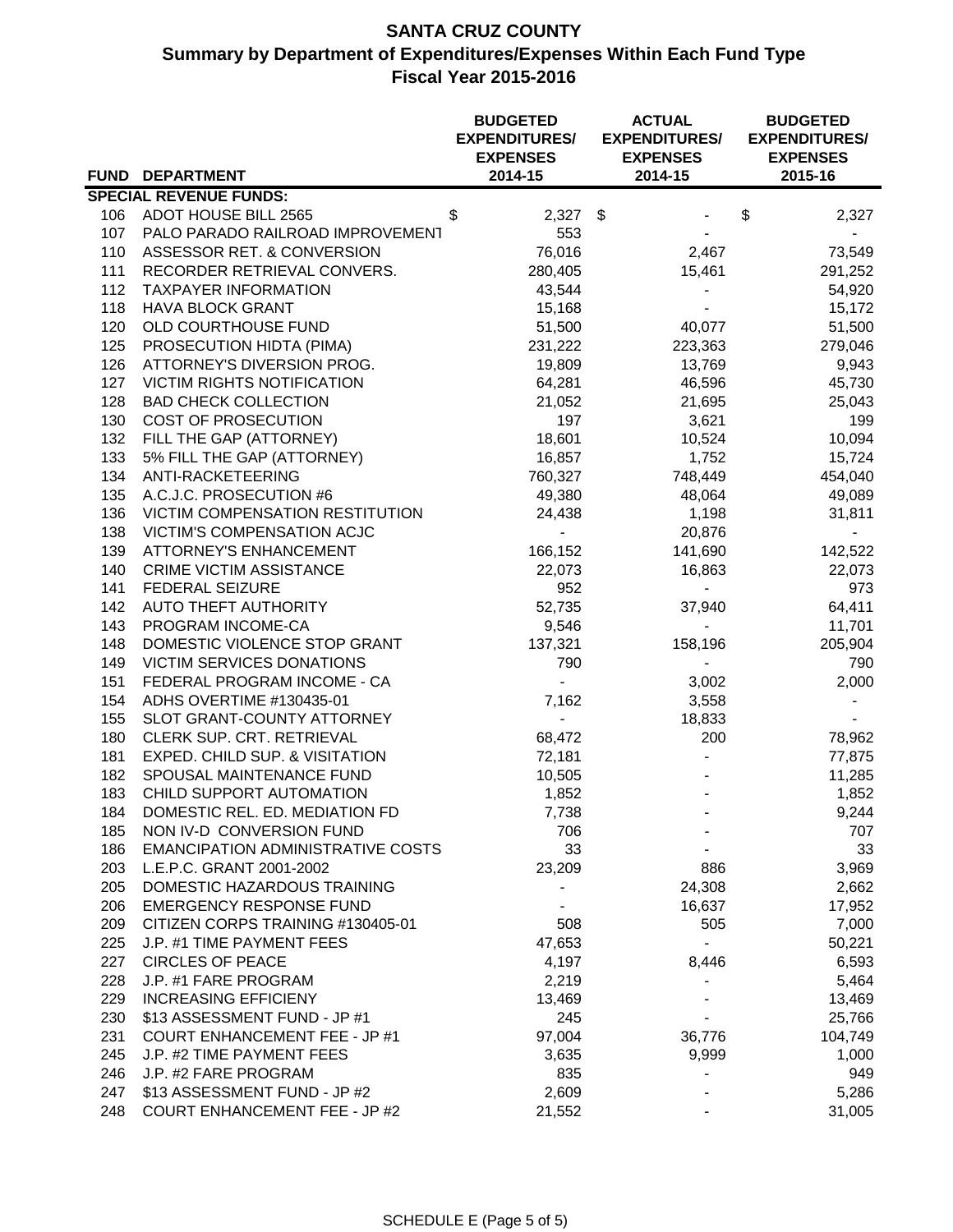# **SANTA CRUZ COUNTY Summary by Department of Expenditures/Expenses Within Each Fund Type Fiscal Year 2015-2016**

|     |                                          | <b>BUDGETED</b><br><b>EXPENDITURES/</b><br><b>EXPENSES</b> | <b>ACTUAL</b><br><b>EXPENDITURES/</b><br><b>EXPENSES</b> | <b>BUDGETED</b><br><b>EXPENDITURES/</b><br><b>EXPENSES</b> |
|-----|------------------------------------------|------------------------------------------------------------|----------------------------------------------------------|------------------------------------------------------------|
|     | FUND DEPARTMENT                          | 2014-15                                                    | 2014-15                                                  | 2015-16                                                    |
|     | <b>SPECIAL REVENUE FUNDS:</b>            |                                                            |                                                          |                                                            |
|     | 106 ADOT HOUSE BILL 2565                 | $2,327$ \$<br>\$                                           |                                                          | \$<br>2,327                                                |
| 107 | PALO PARADO RAILROAD IMPROVEMENT         | 553                                                        |                                                          |                                                            |
| 110 | ASSESSOR RET. & CONVERSION               | 76,016                                                     | 2,467                                                    | 73,549                                                     |
| 111 | RECORDER RETRIEVAL CONVERS.              | 280,405                                                    | 15,461                                                   | 291,252                                                    |
| 112 | <b>TAXPAYER INFORMATION</b>              | 43,544                                                     |                                                          | 54,920                                                     |
| 118 | <b>HAVA BLOCK GRANT</b>                  | 15,168                                                     |                                                          | 15,172                                                     |
| 120 | OLD COURTHOUSE FUND                      | 51,500                                                     | 40,077                                                   | 51,500                                                     |
| 125 | PROSECUTION HIDTA (PIMA)                 | 231,222                                                    | 223,363                                                  | 279,046                                                    |
| 126 | ATTORNEY'S DIVERSION PROG.               | 19,809                                                     | 13,769                                                   | 9,943                                                      |
| 127 | <b>VICTIM RIGHTS NOTIFICATION</b>        | 64,281                                                     | 46,596                                                   | 45,730                                                     |
| 128 | <b>BAD CHECK COLLECTION</b>              | 21,052                                                     | 21,695                                                   | 25,043                                                     |
| 130 | COST OF PROSECUTION                      | 197                                                        | 3,621                                                    | 199                                                        |
| 132 | FILL THE GAP (ATTORNEY)                  | 18,601                                                     | 10,524                                                   | 10,094                                                     |
| 133 | 5% FILL THE GAP (ATTORNEY)               | 16,857                                                     | 1,752                                                    | 15,724                                                     |
| 134 | ANTI-RACKETEERING                        | 760,327                                                    | 748,449                                                  | 454,040                                                    |
| 135 | A.C.J.C. PROSECUTION #6                  | 49,380                                                     | 48,064                                                   | 49,089                                                     |
| 136 | <b>VICTIM COMPENSATION RESTITUTION</b>   | 24,438                                                     | 1,198                                                    | 31,811                                                     |
| 138 | VICTIM'S COMPENSATION ACJC               |                                                            | 20,876                                                   |                                                            |
| 139 | <b>ATTORNEY'S ENHANCEMENT</b>            | 166,152                                                    | 141,690                                                  | 142,522                                                    |
| 140 | <b>CRIME VICTIM ASSISTANCE</b>           | 22,073                                                     | 16,863                                                   | 22,073                                                     |
| 141 | FEDERAL SEIZURE                          | 952                                                        | $\blacksquare$                                           | 973                                                        |
| 142 | AUTO THEFT AUTHORITY                     | 52,735                                                     | 37,940                                                   | 64,411                                                     |
| 143 | PROGRAM INCOME-CA                        | 9,546                                                      | $\blacksquare$                                           | 11,701                                                     |
| 148 | DOMESTIC VIOLENCE STOP GRANT             | 137,321                                                    | 158,196                                                  | 205,904                                                    |
| 149 | VICTIM SERVICES DONATIONS                | 790                                                        | $\overline{\phantom{a}}$                                 | 790                                                        |
| 151 | FEDERAL PROGRAM INCOME - CA              |                                                            | 3,002                                                    | 2,000                                                      |
| 154 | ADHS OVERTIME #130435-01                 | 7,162                                                      | 3,558                                                    |                                                            |
| 155 | SLOT GRANT-COUNTY ATTORNEY               |                                                            | 18,833                                                   |                                                            |
| 180 | CLERK SUP. CRT. RETRIEVAL                | 68,472                                                     | 200                                                      | 78,962                                                     |
| 181 | EXPED. CHILD SUP. & VISITATION           | 72,181                                                     | $\blacksquare$                                           | 77,875                                                     |
| 182 | SPOUSAL MAINTENANCE FUND                 | 10,505                                                     |                                                          | 11,285                                                     |
| 183 | CHILD SUPPORT AUTOMATION                 | 1,852                                                      |                                                          | 1,852                                                      |
| 184 | DOMESTIC REL. ED. MEDIATION FD           | 7,738                                                      |                                                          | 9,244                                                      |
| 185 | NON IV-D CONVERSION FUND                 | 706                                                        |                                                          | 707                                                        |
| 186 | <b>EMANCIPATION ADMINISTRATIVE COSTS</b> | 33                                                         |                                                          | 33                                                         |
| 203 | L.E.P.C. GRANT 2001-2002                 | 23,209                                                     | 886                                                      | 3,969                                                      |
| 205 | DOMESTIC HAZARDOUS TRAINING              |                                                            | 24,308                                                   | 2,662                                                      |
| 206 | <b>EMERGENCY RESPONSE FUND</b>           |                                                            | 16,637                                                   | 17,952                                                     |
| 209 | CITIZEN CORPS TRAINING #130405-01        | 508                                                        | 505                                                      | 7,000                                                      |
| 225 | J.P. #1 TIME PAYMENT FEES                | 47,653                                                     |                                                          | 50,221                                                     |
| 227 | <b>CIRCLES OF PEACE</b>                  | 4,197                                                      | 8,446                                                    | 6,593                                                      |
| 228 | J.P. #1 FARE PROGRAM                     | 2,219                                                      | $\blacksquare$                                           | 5,464                                                      |
| 229 | <b>INCREASING EFFICIENY</b>              | 13,469                                                     |                                                          | 13,469                                                     |
| 230 | \$13 ASSESSMENT FUND - JP #1             | 245                                                        |                                                          | 25,766                                                     |
| 231 | <b>COURT ENHANCEMENT FEE - JP #1</b>     | 97,004                                                     | 36,776                                                   | 104,749                                                    |
| 245 | J.P. #2 TIME PAYMENT FEES                | 3,635                                                      | 9,999                                                    | 1,000                                                      |
| 246 | J.P. #2 FARE PROGRAM                     | 835                                                        |                                                          | 949                                                        |
| 247 | \$13 ASSESSMENT FUND - JP #2             | 2,609                                                      |                                                          | 5,286                                                      |
| 248 | <b>COURT ENHANCEMENT FEE - JP #2</b>     | 21,552                                                     |                                                          | 31,005                                                     |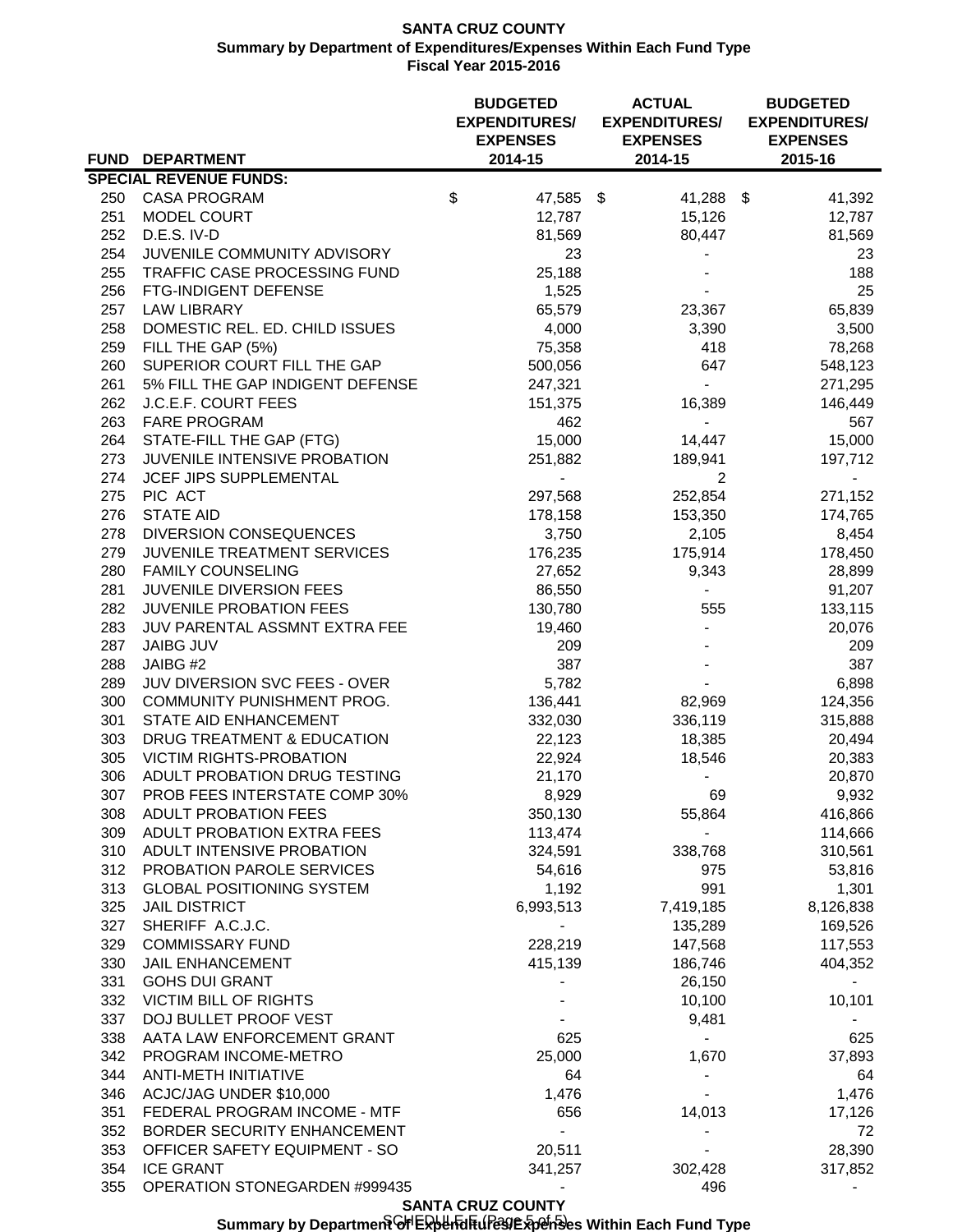### **SANTA CRUZ COUNTY Summary by Department of Expenditures/Expenses Within Each Fund Type Fiscal Year 2015-2016**

|            |                                                     | <b>BUDGETED</b><br><b>EXPENDITURES/</b><br><b>EXPENSES</b> | <b>ACTUAL</b><br><b>EXPENDITURES/</b><br><b>EXPENSES</b> | <b>BUDGETED</b><br><b>EXPENDITURES/</b><br><b>EXPENSES</b> |
|------------|-----------------------------------------------------|------------------------------------------------------------|----------------------------------------------------------|------------------------------------------------------------|
|            | FUND DEPARTMENT                                     | 2014-15                                                    | 2014-15                                                  | 2015-16                                                    |
|            | <b>SPECIAL REVENUE FUNDS:</b>                       |                                                            |                                                          |                                                            |
|            | 250 CASA PROGRAM                                    | \$<br>47,585 \$                                            | 41,288 \$                                                | 41,392                                                     |
| 251<br>252 | <b>MODEL COURT</b><br>D.E.S. IV-D                   | 12,787                                                     | 15,126                                                   | 12,787                                                     |
| 254        | JUVENILE COMMUNITY ADVISORY                         | 81,569<br>23                                               | 80,447                                                   | 81,569                                                     |
| 255        | TRAFFIC CASE PROCESSING FUND                        | 25,188                                                     |                                                          | 23<br>188                                                  |
| 256        | FTG-INDIGENT DEFENSE                                | 1,525                                                      |                                                          | 25                                                         |
| 257        | <b>LAW LIBRARY</b>                                  | 65,579                                                     | 23,367                                                   | 65,839                                                     |
| 258        | DOMESTIC REL. ED. CHILD ISSUES                      | 4,000                                                      | 3,390                                                    | 3,500                                                      |
| 259        | FILL THE GAP (5%)                                   | 75,358                                                     | 418                                                      | 78,268                                                     |
| 260        | SUPERIOR COURT FILL THE GAP                         | 500,056                                                    | 647                                                      | 548,123                                                    |
| 261        | 5% FILL THE GAP INDIGENT DEFENSE                    | 247,321                                                    | $\overline{\phantom{0}}$                                 | 271,295                                                    |
| 262        | J.C.E.F. COURT FEES                                 | 151,375                                                    | 16,389                                                   | 146,449                                                    |
| 263        | <b>FARE PROGRAM</b>                                 | 462                                                        |                                                          | 567                                                        |
| 264        | STATE-FILL THE GAP (FTG)                            | 15,000                                                     | 14,447                                                   | 15,000                                                     |
| 273        | JUVENILE INTENSIVE PROBATION                        | 251,882                                                    | 189,941                                                  | 197,712                                                    |
| 274        | JCEF JIPS SUPPLEMENTAL                              |                                                            | 2                                                        |                                                            |
| 275        | PIC ACT                                             | 297,568                                                    | 252,854                                                  | 271,152                                                    |
| 276        | <b>STATE AID</b>                                    | 178,158                                                    | 153,350                                                  | 174,765                                                    |
| 278        | <b>DIVERSION CONSEQUENCES</b>                       | 3,750                                                      | 2,105                                                    | 8,454                                                      |
| 279        | JUVENILE TREATMENT SERVICES                         | 176,235                                                    | 175,914                                                  | 178,450                                                    |
| 280        | <b>FAMILY COUNSELING</b>                            | 27,652                                                     | 9,343                                                    | 28,899                                                     |
| 281        | JUVENILE DIVERSION FEES                             | 86,550                                                     |                                                          | 91,207                                                     |
| 282        | <b>JUVENILE PROBATION FEES</b>                      | 130,780                                                    | 555                                                      | 133,115                                                    |
| 283        | JUV PARENTAL ASSMNT EXTRA FEE                       | 19,460                                                     |                                                          | 20,076                                                     |
| 287        | <b>JAIBG JUV</b><br>JAIBG #2                        | 209<br>387                                                 |                                                          | 209<br>387                                                 |
| 288<br>289 | JUV DIVERSION SVC FEES - OVER                       | 5,782                                                      |                                                          | 6,898                                                      |
| 300        | COMMUNITY PUNISHMENT PROG.                          | 136,441                                                    | 82,969                                                   | 124,356                                                    |
| 301        | STATE AID ENHANCEMENT                               | 332,030                                                    | 336,119                                                  | 315,888                                                    |
| 303        | DRUG TREATMENT & EDUCATION                          | 22,123                                                     | 18,385                                                   | 20,494                                                     |
| 305        | <b>VICTIM RIGHTS-PROBATION</b>                      | 22,924                                                     | 18,546                                                   | 20,383                                                     |
|            | 306 ADULT PROBATION DRUG TESTING                    | 21,170                                                     |                                                          | 20,870                                                     |
|            | 307 PROB FEES INTERSTATE COMP 30%                   | 8,929                                                      | 69                                                       | 9,932                                                      |
|            | 308 ADULT PROBATION FEES                            | 350,130                                                    | 55,864                                                   | 416,866                                                    |
|            | 309 ADULT PROBATION EXTRA FEES                      | 113,474                                                    | $\sim$                                                   | 114,666                                                    |
|            | 310 ADULT INTENSIVE PROBATION                       | 324,591                                                    | 338,768                                                  | 310,561                                                    |
| 312        | PROBATION PAROLE SERVICES                           | 54,616                                                     | 975                                                      | 53,816                                                     |
| 313        | <b>GLOBAL POSITIONING SYSTEM</b>                    | 1,192                                                      | 991                                                      | 1,301                                                      |
| 325        | <b>JAIL DISTRICT</b>                                | 6,993,513                                                  | 7,419,185                                                | 8,126,838                                                  |
| 327        | SHERIFF A.C.J.C.                                    |                                                            | 135,289                                                  | 169,526                                                    |
| 329        | <b>COMMISSARY FUND</b>                              | 228,219                                                    | 147,568                                                  | 117,553                                                    |
| 330        | <b>JAIL ENHANCEMENT</b>                             | 415,139                                                    | 186,746                                                  | 404,352                                                    |
| 331        | <b>GOHS DUI GRANT</b>                               |                                                            | 26,150                                                   |                                                            |
| 332        | <b>VICTIM BILL OF RIGHTS</b>                        |                                                            | 10,100                                                   | 10,101                                                     |
| 337<br>338 | DOJ BULLET PROOF VEST<br>AATA LAW ENFORCEMENT GRANT | 625                                                        | 9,481<br>$\sim 10$                                       |                                                            |
| 342        | PROGRAM INCOME-METRO                                | 25,000                                                     | 1,670                                                    | 625<br>37,893                                              |
| 344        | ANTI-METH INITIATIVE                                | 64                                                         |                                                          | 64                                                         |
| 346        | ACJC/JAG UNDER \$10,000                             | 1,476                                                      |                                                          | 1,476                                                      |
| 351        | FEDERAL PROGRAM INCOME - MTF                        | 656                                                        | 14,013                                                   | 17,126                                                     |
| 352        | BORDER SECURITY ENHANCEMENT                         |                                                            |                                                          | 72                                                         |
| 353        | OFFICER SAFETY EQUIPMENT - SO                       | 20,511                                                     |                                                          | 28,390                                                     |
| 354        | <b>ICE GRANT</b>                                    | 341,257                                                    | 302,428                                                  | 317,852                                                    |
| 355        | OPERATION STONEGARDEN #999435                       |                                                            | 496                                                      |                                                            |

**SANTA CRUZ COUNTY**

Summary by Department Gr<sup>i</sup> Expenditures and the Syckhales Within Each Fund Type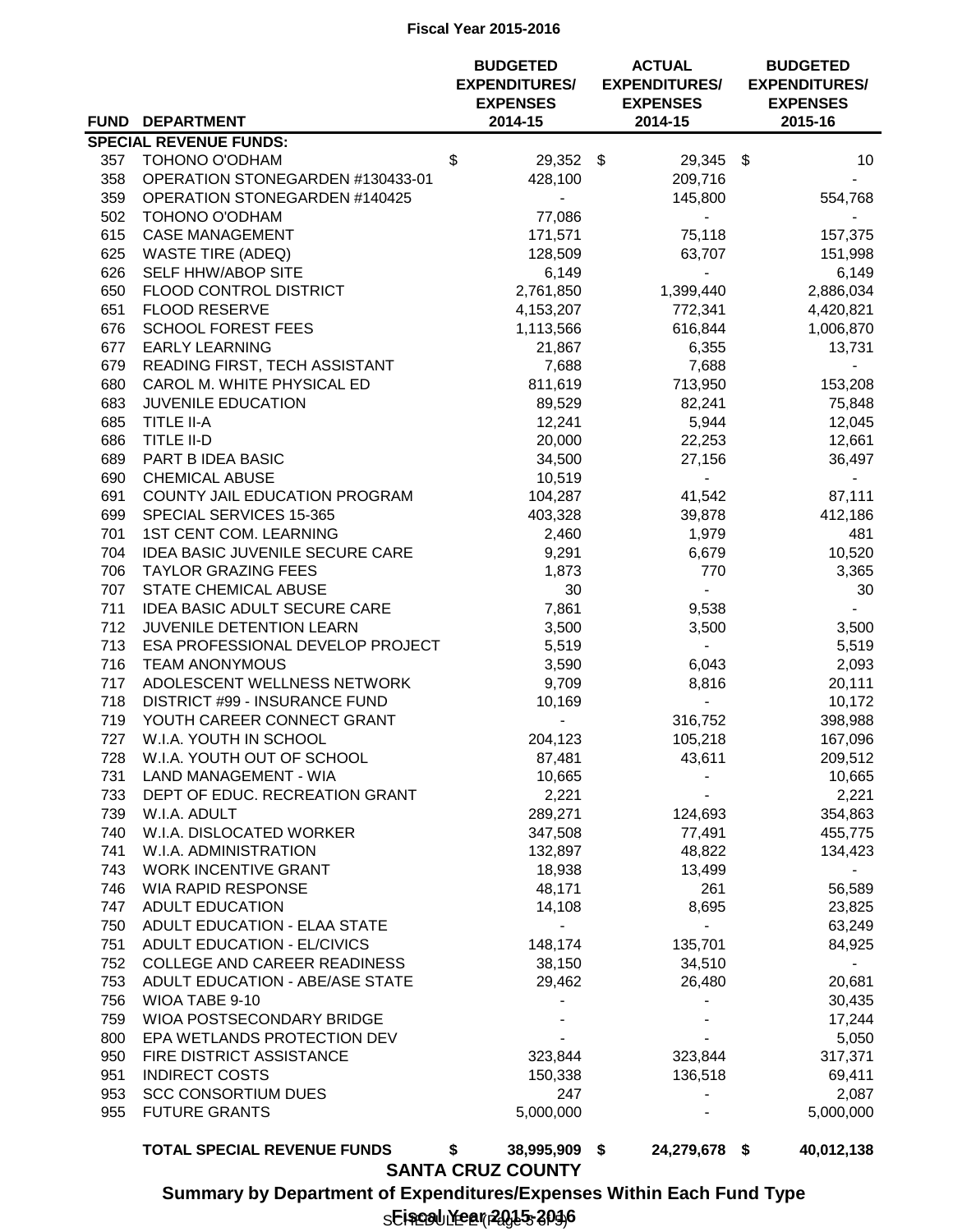### **Fiscal Year 2015-2016**

|            |                                                            | <b>BUDGETED</b><br><b>EXPENDITURES/</b><br><b>EXPENSES</b> | <b>ACTUAL</b><br><b>EXPENDITURES/</b><br><b>EXPENSES</b> | <b>BUDGETED</b><br><b>EXPENDITURES/</b><br><b>EXPENSES</b> |
|------------|------------------------------------------------------------|------------------------------------------------------------|----------------------------------------------------------|------------------------------------------------------------|
|            | FUND DEPARTMENT                                            | 2014-15                                                    | 2014-15                                                  | 2015-16                                                    |
|            | <b>SPECIAL REVENUE FUNDS:</b>                              |                                                            |                                                          |                                                            |
| 357        | TOHONO O'ODHAM                                             | \$<br>29,352 \$                                            | 29,345 \$                                                | 10 <sup>1</sup>                                            |
|            | 358 OPERATION STONEGARDEN #130433-01                       | 428,100                                                    | 209,716                                                  |                                                            |
| 359        | <b>OPERATION STONEGARDEN #140425</b>                       | $\sim$                                                     | 145,800                                                  | 554,768                                                    |
| 502        | TOHONO O'ODHAM                                             | 77,086                                                     | $\sim$                                                   |                                                            |
| 615        | <b>CASE MANAGEMENT</b>                                     | 171,571                                                    | 75,118                                                   | 157,375                                                    |
| 625        | <b>WASTE TIRE (ADEQ)</b>                                   | 128,509                                                    | 63,707                                                   | 151,998                                                    |
| 626        | SELF HHW/ABOP SITE                                         | 6,149                                                      | $\sim$                                                   | 6,149                                                      |
| 650        | FLOOD CONTROL DISTRICT                                     | 2,761,850                                                  | 1,399,440                                                | 2,886,034                                                  |
| 651        | <b>FLOOD RESERVE</b>                                       | 4,153,207                                                  | 772,341                                                  | 4,420,821                                                  |
| 676        | <b>SCHOOL FOREST FEES</b>                                  | 1,113,566                                                  | 616,844                                                  | 1,006,870                                                  |
| 677        | <b>EARLY LEARNING</b>                                      | 21,867                                                     | 6,355                                                    | 13,731                                                     |
| 679        | READING FIRST, TECH ASSISTANT                              | 7,688                                                      | 7,688                                                    |                                                            |
| 680        | CAROL M. WHITE PHYSICAL ED                                 | 811,619                                                    | 713,950                                                  | 153,208                                                    |
| 683        | JUVENILE EDUCATION                                         | 89,529                                                     | 82,241                                                   | 75,848                                                     |
| 685        | <b>TITLE II-A</b>                                          | 12,241                                                     | 5,944                                                    | 12,045                                                     |
| 686        | <b>TITLE II-D</b>                                          | 20,000                                                     | 22,253                                                   | 12,661                                                     |
| 689        | PART B IDEA BASIC                                          | 34,500                                                     | 27,156                                                   | 36,497                                                     |
| 690        | <b>CHEMICAL ABUSE</b>                                      | 10,519                                                     | ÷,                                                       |                                                            |
| 691        | COUNTY JAIL EDUCATION PROGRAM                              | 104,287                                                    | 41,542                                                   | 87,111                                                     |
| 699        | SPECIAL SERVICES 15-365                                    | 403,328                                                    | 39,878                                                   | 412,186                                                    |
| 701        | <b>1ST CENT COM. LEARNING</b>                              | 2,460                                                      | 1,979                                                    | 481                                                        |
| 704        | <b>IDEA BASIC JUVENILE SECURE CARE</b>                     | 9,291                                                      | 6,679                                                    | 10,520                                                     |
| 706        | <b>TAYLOR GRAZING FEES</b>                                 | 1,873                                                      | 770                                                      | 3,365                                                      |
| 707        | <b>STATE CHEMICAL ABUSE</b>                                | 30                                                         | $\sim$                                                   | 30                                                         |
| 711        | <b>IDEA BASIC ADULT SECURE CARE</b>                        | 7,861                                                      | 9,538                                                    |                                                            |
| 712        | JUVENILE DETENTION LEARN                                   | 3,500                                                      | 3,500                                                    | 3,500                                                      |
| 713        | ESA PROFESSIONAL DEVELOP PROJECT                           | 5,519                                                      | $\sim 10$                                                | 5,519                                                      |
| 716        | <b>TEAM ANONYMOUS</b>                                      | 3,590                                                      | 6,043                                                    | 2,093                                                      |
| 717        | ADOLESCENT WELLNESS NETWORK                                | 9,709                                                      | 8,816                                                    | 20,111                                                     |
| 718        | DISTRICT #99 - INSURANCE FUND                              | 10,169                                                     |                                                          | 10,172                                                     |
| 719        | YOUTH CAREER CONNECT GRANT<br>W.I.A. YOUTH IN SCHOOL       |                                                            | 316,752                                                  | 398,988                                                    |
| 727        |                                                            | 204,123                                                    | 105,218                                                  | 167,096                                                    |
| 728<br>731 | W.I.A. YOUTH OUT OF SCHOOL<br><b>LAND MANAGEMENT - WIA</b> | 87,481                                                     | 43,611                                                   | 209,512<br>10,665                                          |
| 733        | DEPT OF EDUC. RECREATION GRANT                             | 10,665<br>2,221                                            |                                                          | 2,221                                                      |
| 739        | W.I.A. ADULT                                               |                                                            | $\sim$                                                   | 354,863                                                    |
| 740        | W.I.A. DISLOCATED WORKER                                   | 289,271<br>347,508                                         | 124,693<br>77,491                                        |                                                            |
| 741        | W.I.A. ADMINISTRATION                                      | 132,897                                                    | 48,822                                                   | 455,775<br>134,423                                         |
|            | 743 WORK INCENTIVE GRANT                                   | 18,938                                                     | 13,499                                                   |                                                            |
| 746        | <b>WIA RAPID RESPONSE</b>                                  | 48,171                                                     | 261                                                      | $\sim$<br>56,589                                           |
| 747        | ADULT EDUCATION                                            | 14,108                                                     | 8,695                                                    | 23,825                                                     |
| 750        | ADULT EDUCATION - ELAA STATE                               |                                                            |                                                          | 63,249                                                     |
| 751        | ADULT EDUCATION - EL/CIVICS                                | 148,174                                                    | 135,701                                                  | 84,925                                                     |
| 752        | COLLEGE AND CAREER READINESS                               | 38,150                                                     | 34,510                                                   |                                                            |
| 753        | ADULT EDUCATION - ABE/ASE STATE                            | 29,462                                                     | 26,480                                                   | 20,681                                                     |
| 756        | WIOA TABE 9-10                                             |                                                            | $\overline{\phantom{a}}$                                 | 30,435                                                     |
| 759        | WIOA POSTSECONDARY BRIDGE                                  |                                                            |                                                          | 17,244                                                     |
| 800        | EPA WETLANDS PROTECTION DEV                                |                                                            |                                                          | 5,050                                                      |
| 950        | FIRE DISTRICT ASSISTANCE                                   | 323,844                                                    | 323,844                                                  | 317,371                                                    |
| 951        | <b>INDIRECT COSTS</b>                                      | 150,338                                                    | 136,518                                                  | 69,411                                                     |
| 953        | <b>SCC CONSORTIUM DUES</b>                                 | 247                                                        |                                                          | 2,087                                                      |
| 955        | <b>FUTURE GRANTS</b>                                       | 5,000,000                                                  |                                                          | 5,000,000                                                  |
|            |                                                            |                                                            |                                                          |                                                            |
|            | <b>TOTAL SPECIAL REVENUE FUNDS</b>                         | \$<br>38,995,909 \$                                        | 24,279,678 \$                                            | 40,012,138                                                 |

**SANTA CRUZ COUNTY**

**Summary by Department of Expenditures/Expenses Within Each Fund Type**

s**Eiscal Yea**r 2015-2016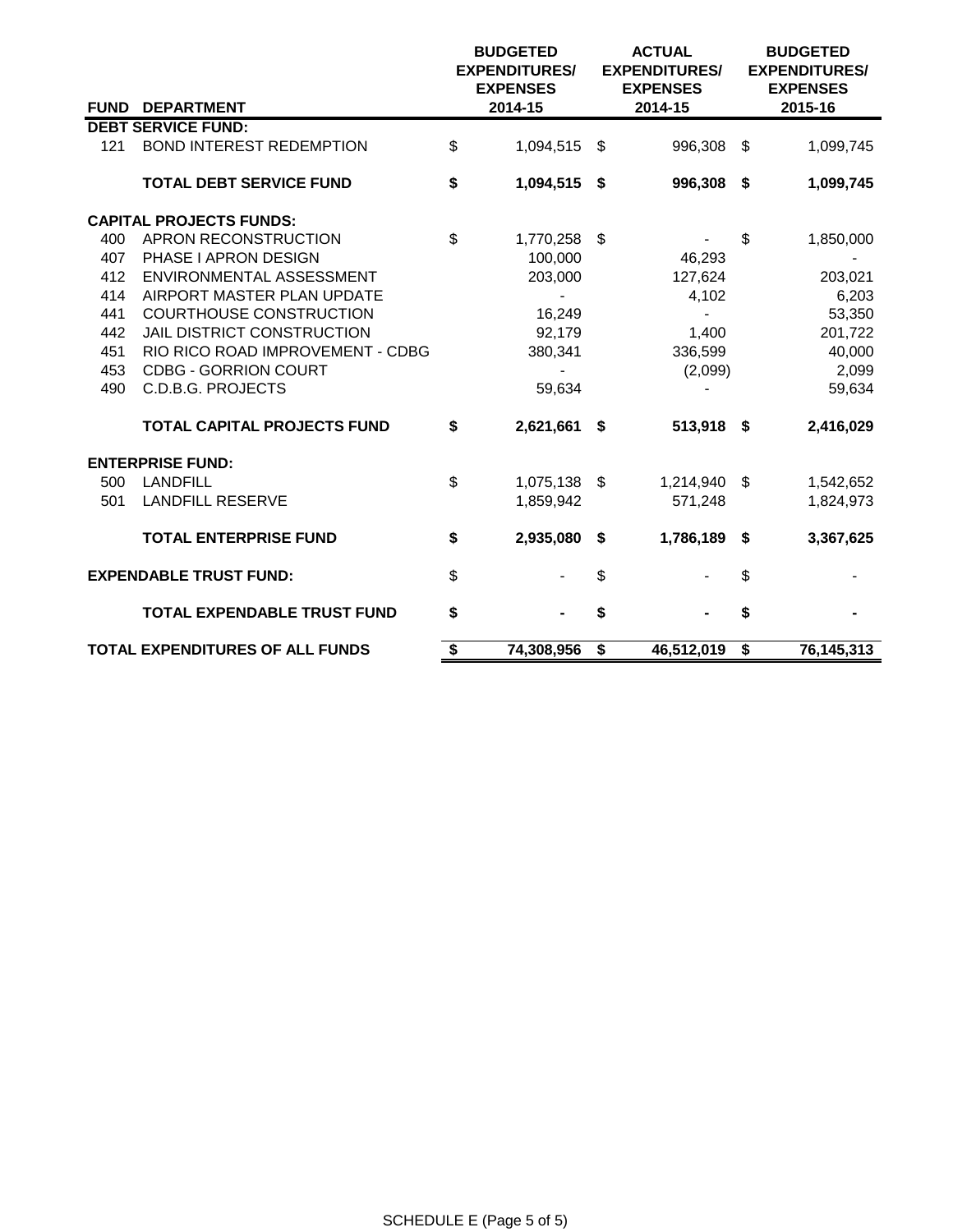|     |                                    | <b>BUDGETED</b><br><b>EXPENDITURES/</b><br><b>EXPENSES</b> | <b>ACTUAL</b><br><b>EXPENDITURES/</b><br><b>EXPENSES</b> |     | <b>BUDGETED</b><br><b>EXPENDITURES/</b><br><b>EXPENSES</b> |
|-----|------------------------------------|------------------------------------------------------------|----------------------------------------------------------|-----|------------------------------------------------------------|
|     | FUND DEPARTMENT                    | 2014-15                                                    | 2014-15                                                  |     | 2015-16                                                    |
|     | <b>DEBT SERVICE FUND:</b>          |                                                            |                                                          |     |                                                            |
| 121 | <b>BOND INTEREST REDEMPTION</b>    | \$<br>1,094,515                                            | \$<br>996,308                                            | \$  | 1,099,745                                                  |
|     | <b>TOTAL DEBT SERVICE FUND</b>     | \$<br>1,094,515 \$                                         | 996,308 \$                                               |     | 1,099,745                                                  |
|     | <b>CAPITAL PROJECTS FUNDS:</b>     |                                                            |                                                          |     |                                                            |
| 400 | APRON RECONSTRUCTION               | \$<br>1,770,258 \$                                         |                                                          | \$  | 1,850,000                                                  |
| 407 | PHASE I APRON DESIGN               | 100,000                                                    | 46,293                                                   |     |                                                            |
| 412 | ENVIRONMENTAL ASSESSMENT           | 203,000                                                    | 127,624                                                  |     | 203,021                                                    |
| 414 | AIRPORT MASTER PLAN UPDATE         |                                                            | 4,102                                                    |     | 6,203                                                      |
| 441 | <b>COURTHOUSE CONSTRUCTION</b>     | 16,249                                                     | $\overline{\phantom{0}}$                                 |     | 53,350                                                     |
| 442 | <b>JAIL DISTRICT CONSTRUCTION</b>  | 92,179                                                     | 1,400                                                    |     | 201,722                                                    |
| 451 | RIO RICO ROAD IMPROVEMENT - CDBG   | 380,341                                                    | 336,599                                                  |     | 40,000                                                     |
| 453 | <b>CDBG - GORRION COURT</b>        |                                                            | (2,099)                                                  |     | 2,099                                                      |
| 490 | <b>C.D.B.G. PROJECTS</b>           | 59,634                                                     |                                                          |     | 59,634                                                     |
|     | <b>TOTAL CAPITAL PROJECTS FUND</b> | \$<br>2,621,661                                            | \$<br>513,918 \$                                         |     | 2,416,029                                                  |
|     | <b>ENTERPRISE FUND:</b>            |                                                            |                                                          |     |                                                            |
| 500 | <b>LANDFILL</b>                    | \$<br>1,075,138 \$                                         | 1,214,940 \$                                             |     | 1,542,652                                                  |
| 501 | <b>LANDFILL RESERVE</b>            | 1,859,942                                                  | 571,248                                                  |     | 1,824,973                                                  |
|     | <b>TOTAL ENTERPRISE FUND</b>       | \$<br>2,935,080                                            | \$<br>1,786,189                                          | -\$ | 3,367,625                                                  |
|     | <b>EXPENDABLE TRUST FUND:</b>      | \$                                                         | \$                                                       | \$  |                                                            |
|     | <b>TOTAL EXPENDABLE TRUST FUND</b> | \$                                                         | \$                                                       | \$  |                                                            |
|     | TOTAL EXPENDITURES OF ALL FUNDS    | \$<br>74,308,956                                           | \$<br>46,512,019                                         | \$  | 76,145,313                                                 |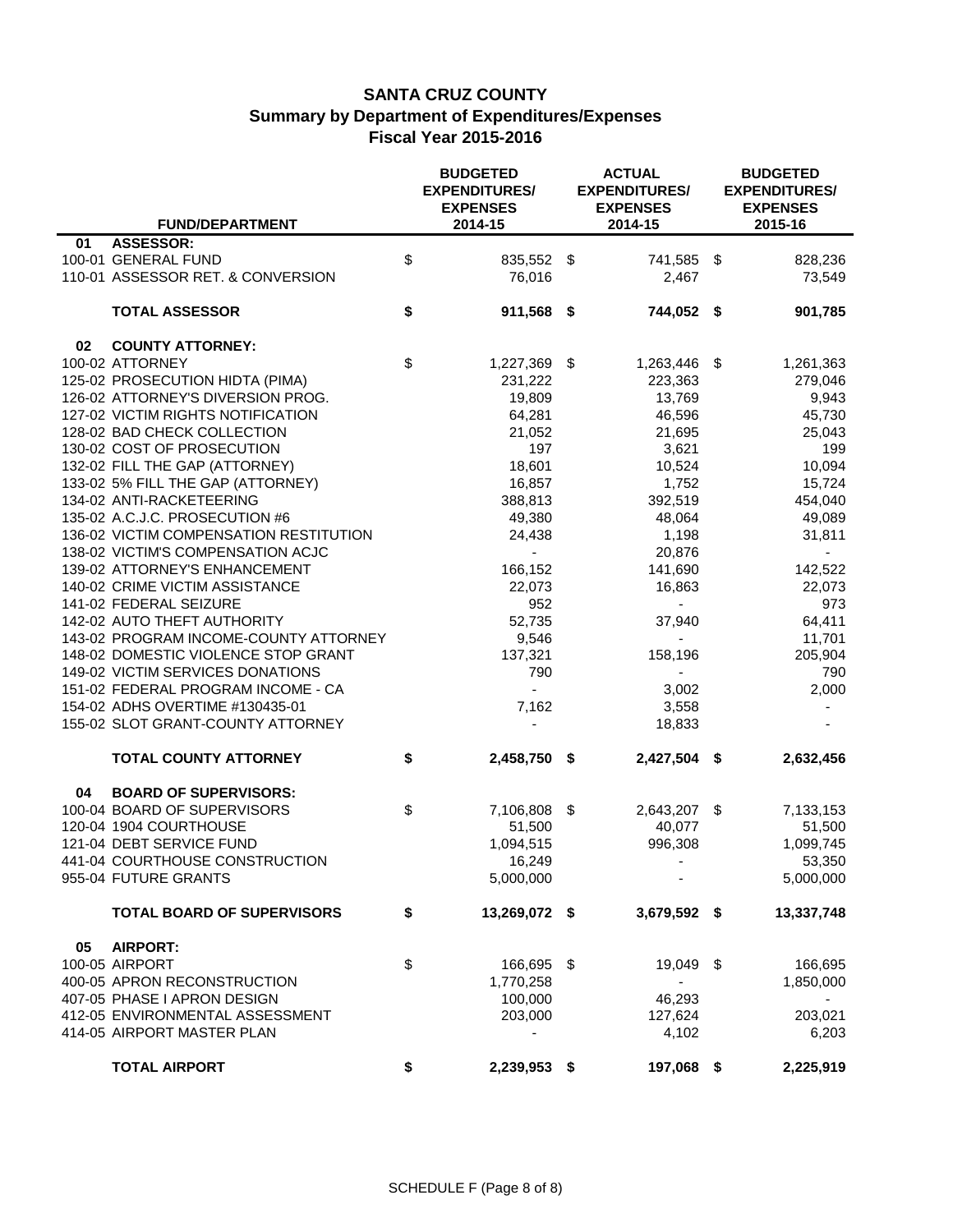|    |                                        | <b>BUDGETED</b><br><b>EXPENDITURES/</b><br><b>EXPENSES</b> | <b>ACTUAL</b><br><b>EXPENDITURES/</b><br><b>EXPENSES</b> |    | <b>BUDGETED</b><br><b>EXPENDITURES/</b><br><b>EXPENSES</b> |
|----|----------------------------------------|------------------------------------------------------------|----------------------------------------------------------|----|------------------------------------------------------------|
|    | <b>FUND/DEPARTMENT</b>                 | 2014-15                                                    | 2014-15                                                  |    | 2015-16                                                    |
| 01 | <b>ASSESSOR:</b>                       |                                                            |                                                          |    |                                                            |
|    | 100-01 GENERAL FUND                    | \$<br>835,552 \$                                           | 741,585 \$                                               |    | 828,236                                                    |
|    | 110-01 ASSESSOR RET. & CONVERSION      | 76,016                                                     | 2,467                                                    |    | 73,549                                                     |
|    | <b>TOTAL ASSESSOR</b>                  | \$<br>911,568 \$                                           | 744,052 \$                                               |    | 901,785                                                    |
| 02 | <b>COUNTY ATTORNEY:</b>                |                                                            |                                                          |    |                                                            |
|    | 100-02 ATTORNEY                        | \$<br>1,227,369 \$                                         | 1,263,446                                                | \$ | 1,261,363                                                  |
|    | 125-02 PROSECUTION HIDTA (PIMA)        | 231,222                                                    | 223,363                                                  |    | 279,046                                                    |
|    | 126-02 ATTORNEY'S DIVERSION PROG.      | 19,809                                                     | 13,769                                                   |    | 9,943                                                      |
|    | 127-02 VICTIM RIGHTS NOTIFICATION      | 64,281                                                     | 46,596                                                   |    | 45,730                                                     |
|    | 128-02 BAD CHECK COLLECTION            | 21,052                                                     | 21,695                                                   |    | 25,043                                                     |
|    | 130-02 COST OF PROSECUTION             | 197                                                        | 3,621                                                    |    | 199                                                        |
|    | 132-02 FILL THE GAP (ATTORNEY)         | 18,601                                                     | 10,524                                                   |    | 10,094                                                     |
|    | 133-02 5% FILL THE GAP (ATTORNEY)      | 16,857                                                     | 1,752                                                    |    | 15,724                                                     |
|    | 134-02 ANTI-RACKETEERING               | 388,813                                                    | 392,519                                                  |    | 454,040                                                    |
|    | 135-02 A.C.J.C. PROSECUTION #6         | 49,380                                                     | 48,064                                                   |    | 49,089                                                     |
|    | 136-02 VICTIM COMPENSATION RESTITUTION | 24,438                                                     | 1,198                                                    |    | 31,811                                                     |
|    | 138-02 VICTIM'S COMPENSATION ACJC      |                                                            | 20,876                                                   |    |                                                            |
|    | 139-02 ATTORNEY'S ENHANCEMENT          | 166,152                                                    | 141,690                                                  |    | 142,522                                                    |
|    | 140-02 CRIME VICTIM ASSISTANCE         | 22,073                                                     | 16,863                                                   |    | 22,073                                                     |
|    | 141-02 FEDERAL SEIZURE                 | 952                                                        |                                                          |    | 973                                                        |
|    | 142-02 AUTO THEFT AUTHORITY            | 52,735                                                     | 37,940                                                   |    | 64,411                                                     |
|    | 143-02 PROGRAM INCOME-COUNTY ATTORNEY  | 9,546                                                      |                                                          |    | 11,701                                                     |
|    | 148-02 DOMESTIC VIOLENCE STOP GRANT    | 137,321                                                    | 158,196                                                  |    | 205,904                                                    |
|    | 149-02 VICTIM SERVICES DONATIONS       | 790                                                        |                                                          |    | 790                                                        |
|    | 151-02 FEDERAL PROGRAM INCOME - CA     |                                                            | 3,002                                                    |    | 2,000                                                      |
|    | 154-02 ADHS OVERTIME #130435-01        | 7,162                                                      | 3,558                                                    |    |                                                            |
|    | 155-02 SLOT GRANT-COUNTY ATTORNEY      |                                                            | 18,833                                                   |    |                                                            |
|    |                                        |                                                            |                                                          |    |                                                            |
|    | <b>TOTAL COUNTY ATTORNEY</b>           | \$<br>2,458,750 \$                                         | 2,427,504                                                | -S | 2,632,456                                                  |
| 04 | <b>BOARD OF SUPERVISORS:</b>           |                                                            |                                                          |    |                                                            |
|    | 100-04 BOARD OF SUPERVISORS            | \$<br>7,106,808 \$                                         | 2,643,207 \$                                             |    | 7,133,153                                                  |
|    | 120-04 1904 COURTHOUSE                 | 51,500                                                     | 40,077                                                   |    | 51,500                                                     |
|    | 121-04 DEBT SERVICE FUND               | 1,094,515                                                  | 996,308                                                  |    | 1,099,745                                                  |
|    | 441-04 COURTHOUSE CONSTRUCTION         | 16,249                                                     | $\overline{\phantom{a}}$                                 |    | 53,350                                                     |
|    | 955-04 FUTURE GRANTS                   | 5,000,000                                                  |                                                          |    | 5,000,000                                                  |
|    | <b>TOTAL BOARD OF SUPERVISORS</b>      | \$<br>13,269,072 \$                                        | 3,679,592 \$                                             |    | 13,337,748                                                 |
| 05 | <b>AIRPORT:</b>                        |                                                            |                                                          |    |                                                            |
|    | 100-05 AIRPORT                         | \$<br>166,695 \$                                           | 19,049 \$                                                |    | 166,695                                                    |
|    | 400-05 APRON RECONSTRUCTION            | 1,770,258                                                  | $\blacksquare$                                           |    | 1,850,000                                                  |
|    | 407-05 PHASE I APRON DESIGN            | 100,000                                                    | 46,293                                                   |    |                                                            |
|    | 412-05 ENVIRONMENTAL ASSESSMENT        | 203,000                                                    | 127,624                                                  |    | 203,021                                                    |
|    | 414-05 AIRPORT MASTER PLAN             |                                                            | 4,102                                                    |    | 6,203                                                      |
|    | <b>TOTAL AIRPORT</b>                   | \$<br>2,239,953 \$                                         | 197,068 \$                                               |    | 2,225,919                                                  |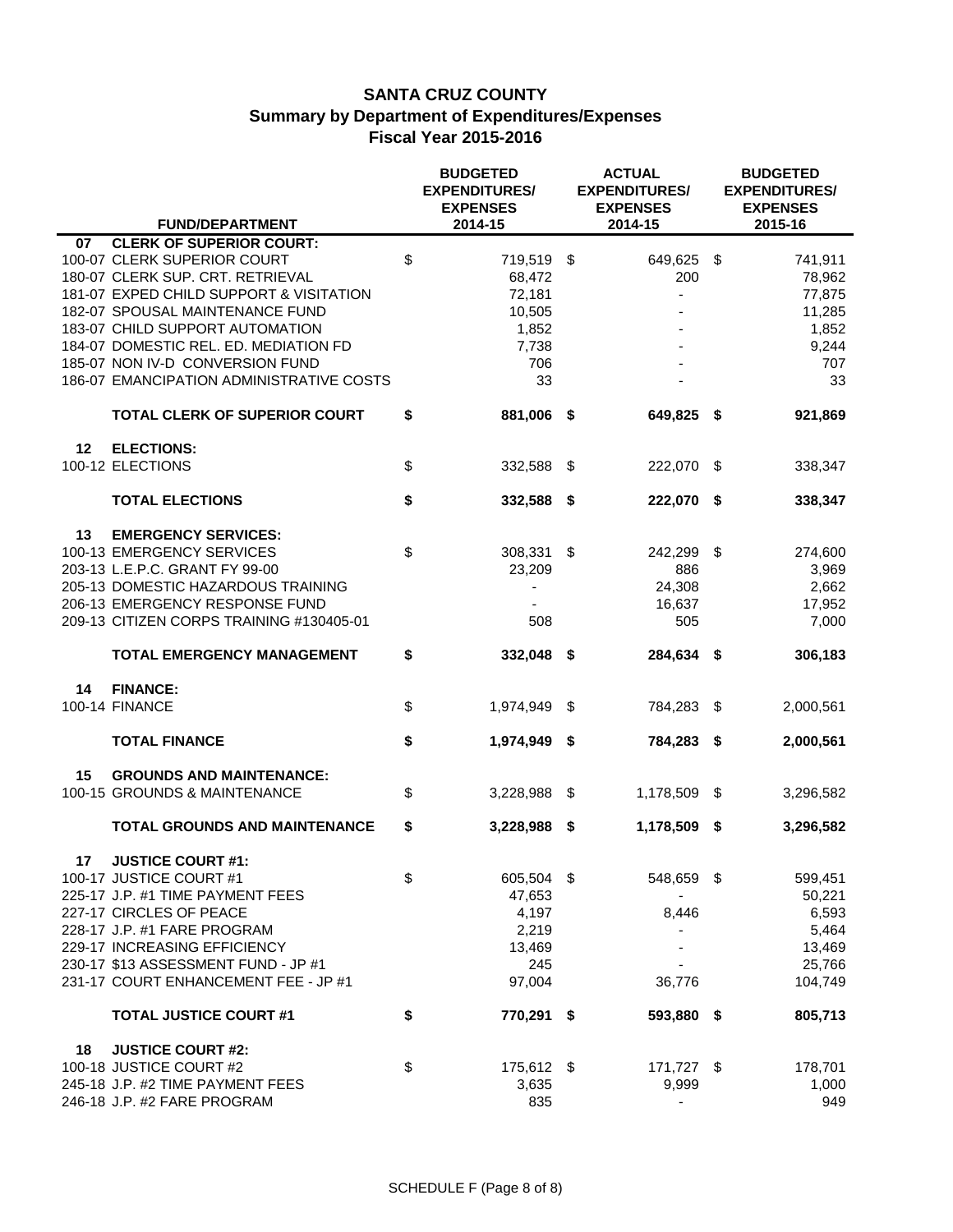|    |                                          | <b>BUDGETED</b><br><b>EXPENDITURES/</b><br><b>EXPENSES</b> |      | <b>ACTUAL</b><br><b>EXPENDITURES/</b><br><b>EXPENSES</b> |      | <b>BUDGETED</b><br><b>EXPENDITURES/</b><br><b>EXPENSES</b> |
|----|------------------------------------------|------------------------------------------------------------|------|----------------------------------------------------------|------|------------------------------------------------------------|
|    | <b>FUND/DEPARTMENT</b>                   | 2014-15                                                    |      | 2014-15                                                  |      | 2015-16                                                    |
| 07 | <b>CLERK OF SUPERIOR COURT:</b>          |                                                            |      |                                                          |      |                                                            |
|    | 100-07 CLERK SUPERIOR COURT              | \$<br>719,519 \$                                           |      | 649,625 \$                                               |      | 741,911                                                    |
|    | 180-07 CLERK SUP. CRT. RETRIEVAL         | 68,472                                                     |      | 200                                                      |      | 78,962                                                     |
|    | 181-07 EXPED CHILD SUPPORT & VISITATION  | 72,181                                                     |      |                                                          |      | 77,875                                                     |
|    | 182-07 SPOUSAL MAINTENANCE FUND          | 10,505                                                     |      |                                                          |      | 11,285                                                     |
|    | 183-07 CHILD SUPPORT AUTOMATION          | 1,852                                                      |      |                                                          |      | 1,852                                                      |
|    | 184-07 DOMESTIC REL. ED. MEDIATION FD    | 7,738                                                      |      |                                                          |      | 9,244                                                      |
|    | 185-07 NON IV-D CONVERSION FUND          | 706                                                        |      |                                                          |      | 707                                                        |
|    | 186-07 EMANCIPATION ADMINISTRATIVE COSTS | 33                                                         |      |                                                          |      | 33                                                         |
|    | <b>TOTAL CLERK OF SUPERIOR COURT</b>     | \$<br>881,006 \$                                           |      | 649,825                                                  | \$   | 921,869                                                    |
| 12 | <b>ELECTIONS:</b>                        |                                                            |      |                                                          |      |                                                            |
|    | 100-12 ELECTIONS                         | \$<br>332,588                                              | - \$ | 222,070                                                  | -\$  | 338,347                                                    |
|    | <b>TOTAL ELECTIONS</b>                   | \$<br>332,588 \$                                           |      | 222,070                                                  | - \$ | 338,347                                                    |
| 13 | <b>EMERGENCY SERVICES:</b>               |                                                            |      |                                                          |      |                                                            |
|    | 100-13 EMERGENCY SERVICES                | \$<br>308,331                                              | \$   | 242,299                                                  | -\$  | 274,600                                                    |
|    | 203-13 L.E.P.C. GRANT FY 99-00           | 23,209                                                     |      | 886                                                      |      | 3,969                                                      |
|    | 205-13 DOMESTIC HAZARDOUS TRAINING       |                                                            |      | 24,308                                                   |      | 2,662                                                      |
|    | 206-13 EMERGENCY RESPONSE FUND           |                                                            |      | 16,637                                                   |      | 17,952                                                     |
|    | 209-13 CITIZEN CORPS TRAINING #130405-01 | 508                                                        |      | 505                                                      |      | 7,000                                                      |
|    | <b>TOTAL EMERGENCY MANAGEMENT</b>        | \$<br>332,048 \$                                           |      | 284,634 \$                                               |      | 306,183                                                    |
| 14 | <b>FINANCE:</b>                          |                                                            |      |                                                          |      |                                                            |
|    | 100-14 FINANCE                           | \$<br>1,974,949                                            | \$   | 784,283                                                  | \$   | 2,000,561                                                  |
|    |                                          |                                                            |      |                                                          |      |                                                            |
|    | <b>TOTAL FINANCE</b>                     | \$<br>1,974,949                                            | -\$  | 784,283 \$                                               |      | 2,000,561                                                  |
| 15 | <b>GROUNDS AND MAINTENANCE:</b>          |                                                            |      |                                                          |      |                                                            |
|    | 100-15 GROUNDS & MAINTENANCE             | \$<br>3,228,988 \$                                         |      | 1,178,509 \$                                             |      | 3,296,582                                                  |
|    |                                          |                                                            |      |                                                          |      |                                                            |
|    | <b>TOTAL GROUNDS AND MAINTENANCE</b>     | \$<br>3,228,988 \$                                         |      | 1,178,509 \$                                             |      | 3,296,582                                                  |
| 17 | <b>JUSTICE COURT #1:</b>                 |                                                            |      |                                                          |      |                                                            |
|    | 100-17 JUSTICE COURT #1                  | \$<br>605,504 \$                                           |      | 548,659 \$                                               |      | 599,451                                                    |
|    | 225-17 J.P. #1 TIME PAYMENT FEES         | 47,653                                                     |      |                                                          |      | 50,221                                                     |
|    | 227-17 CIRCLES OF PEACE                  | 4,197                                                      |      | 8,446                                                    |      | 6,593                                                      |
|    | 228-17 J.P. #1 FARE PROGRAM              | 2,219                                                      |      |                                                          |      | 5,464                                                      |
|    | 229-17 INCREASING EFFICIENCY             | 13,469                                                     |      |                                                          |      | 13,469                                                     |
|    | 230-17 \$13 ASSESSMENT FUND - JP #1      | 245                                                        |      |                                                          |      | 25,766                                                     |
|    | 231-17 COURT ENHANCEMENT FEE - JP #1     | 97,004                                                     |      | 36,776                                                   |      | 104,749                                                    |
|    | <b>TOTAL JUSTICE COURT #1</b>            | \$<br>770,291 \$                                           |      | 593,880 \$                                               |      | 805,713                                                    |
| 18 | <b>JUSTICE COURT #2:</b>                 |                                                            |      |                                                          |      |                                                            |
|    | 100-18 JUSTICE COURT #2                  | \$<br>175,612 \$                                           |      | 171,727 \$                                               |      | 178,701                                                    |
|    | 245-18 J.P. #2 TIME PAYMENT FEES         | 3,635                                                      |      | 9,999                                                    |      | 1,000                                                      |
|    | 246-18 J.P. #2 FARE PROGRAM              | 835                                                        |      |                                                          |      | 949                                                        |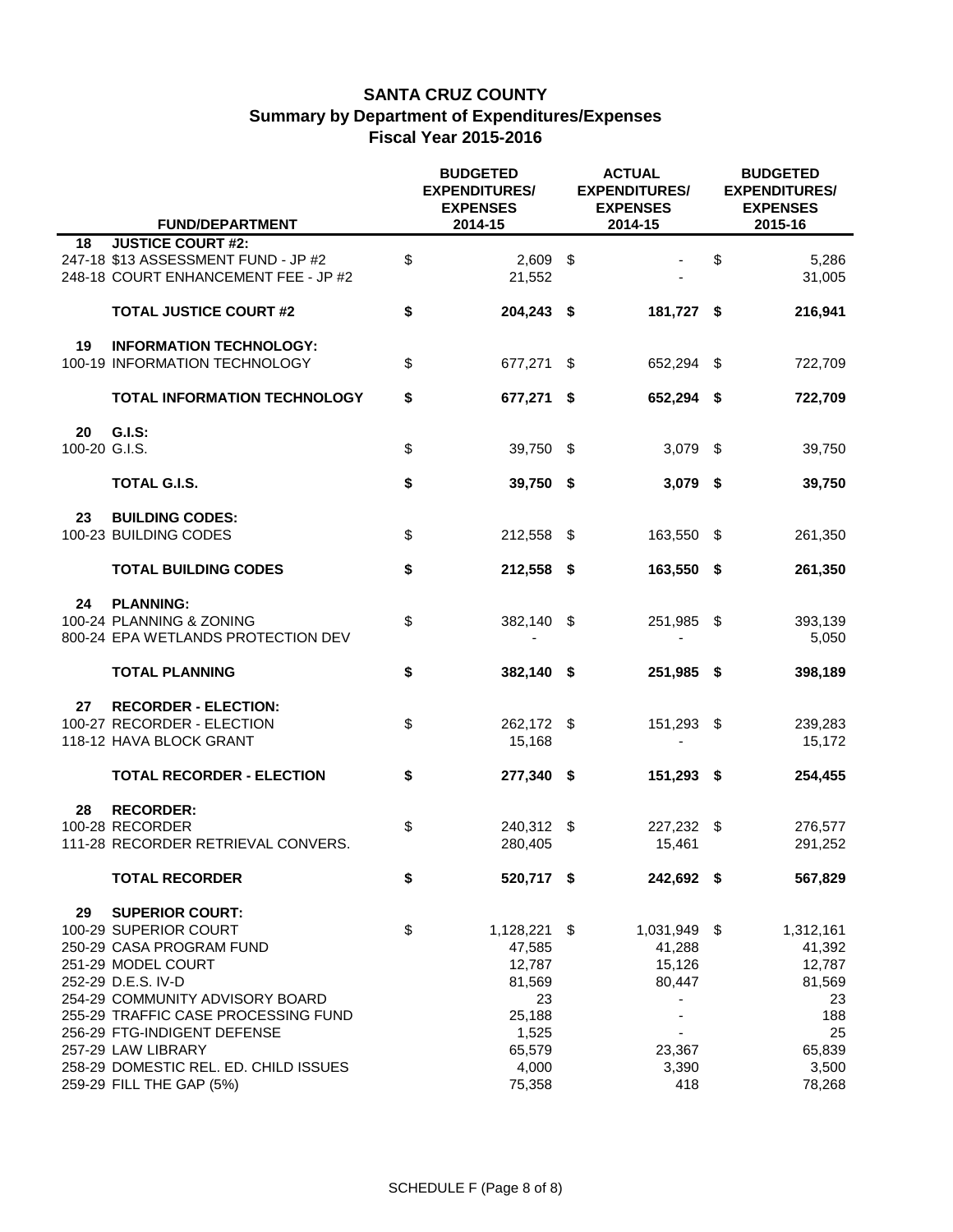|                     |                                                                                                                                                                      | <b>BUDGETED</b><br><b>EXPENDITURES/</b><br><b>EXPENSES</b> | <b>ACTUAL</b><br><b>EXPENDITURES/</b><br><b>EXPENSES</b> |     | <b>BUDGETED</b><br><b>EXPENDITURES/</b><br><b>EXPENSES</b> |
|---------------------|----------------------------------------------------------------------------------------------------------------------------------------------------------------------|------------------------------------------------------------|----------------------------------------------------------|-----|------------------------------------------------------------|
|                     | <b>FUND/DEPARTMENT</b>                                                                                                                                               | 2014-15                                                    | 2014-15                                                  |     | 2015-16                                                    |
| 18                  | <b>JUSTICE COURT #2:</b><br>247-18 \$13 ASSESSMENT FUND - JP #2<br>248-18 COURT ENHANCEMENT FEE - JP #2                                                              | \$<br>$2,609$ \$<br>21,552                                 |                                                          | \$  | 5,286<br>31,005                                            |
|                     | <b>TOTAL JUSTICE COURT #2</b>                                                                                                                                        | \$<br>204,243 \$                                           | 181,727 \$                                               |     | 216,941                                                    |
| 19                  | <b>INFORMATION TECHNOLOGY:</b><br>100-19 INFORMATION TECHNOLOGY                                                                                                      | \$<br>677,271 \$                                           | 652,294 \$                                               |     | 722,709                                                    |
|                     | <b>TOTAL INFORMATION TECHNOLOGY</b>                                                                                                                                  | \$<br>677,271 \$                                           | 652,294 \$                                               |     | 722,709                                                    |
| 20<br>100-20 G.I.S. | <b>G.I.S:</b>                                                                                                                                                        | \$<br>39,750 \$                                            | $3,079$ \$                                               |     | 39,750                                                     |
|                     | <b>TOTAL G.I.S.</b>                                                                                                                                                  | \$<br>39,750 \$                                            | $3,079$ \$                                               |     | 39,750                                                     |
| 23                  | <b>BUILDING CODES:</b><br>100-23 BUILDING CODES                                                                                                                      | \$<br>212,558 \$                                           | 163,550                                                  | -\$ | 261,350                                                    |
|                     | <b>TOTAL BUILDING CODES</b>                                                                                                                                          | \$<br>212,558 \$                                           | 163,550 \$                                               |     | 261,350                                                    |
| 24                  | <b>PLANNING:</b><br>100-24 PLANNING & ZONING<br>800-24 EPA WETLANDS PROTECTION DEV                                                                                   | \$<br>382,140 \$                                           | 251,985 \$                                               |     | 393,139<br>5,050                                           |
|                     | <b>TOTAL PLANNING</b>                                                                                                                                                | \$<br>382,140 \$                                           | 251,985 \$                                               |     | 398,189                                                    |
| 27                  | <b>RECORDER - ELECTION:</b><br>100-27 RECORDER - ELECTION<br>118-12 HAVA BLOCK GRANT                                                                                 | \$<br>262,172 \$<br>15,168                                 | 151,293                                                  | -\$ | 239,283<br>15,172                                          |
|                     | <b>TOTAL RECORDER - ELECTION</b>                                                                                                                                     | \$<br>277,340 \$                                           | 151,293 \$                                               |     | 254,455                                                    |
| 28                  | <b>RECORDER:</b><br>100-28 RECORDER<br>111-28 RECORDER RETRIEVAL CONVERS.                                                                                            | \$<br>240,312 \$<br>280,405                                | 227,232 \$<br>15,461                                     |     | 276,577<br>291,252                                         |
|                     | <b>TOTAL RECORDER</b>                                                                                                                                                | \$<br>520,717 \$                                           | 242,692 \$                                               |     | 567,829                                                    |
| 29                  | <b>SUPERIOR COURT:</b><br>100-29 SUPERIOR COURT<br>250-29 CASA PROGRAM FUND<br>251-29 MODEL COURT<br>252-29 D.E.S. IV-D                                              | \$<br>1,128,221 \$<br>47,585<br>12,787<br>81,569           | 1,031,949 \$<br>41,288<br>15,126<br>80,447               |     | 1,312,161<br>41,392<br>12,787<br>81,569                    |
|                     | 254-29 COMMUNITY ADVISORY BOARD<br>255-29 TRAFFIC CASE PROCESSING FUND<br>256-29 FTG-INDIGENT DEFENSE<br>257-29 LAW LIBRARY<br>258-29 DOMESTIC REL. ED. CHILD ISSUES | 23<br>25,188<br>1,525<br>65,579<br>4,000                   | 23,367<br>3,390                                          |     | 23<br>188<br>25<br>65,839<br>3,500                         |
|                     | 259-29 FILL THE GAP (5%)                                                                                                                                             | 75,358                                                     | 418                                                      |     | 78,268                                                     |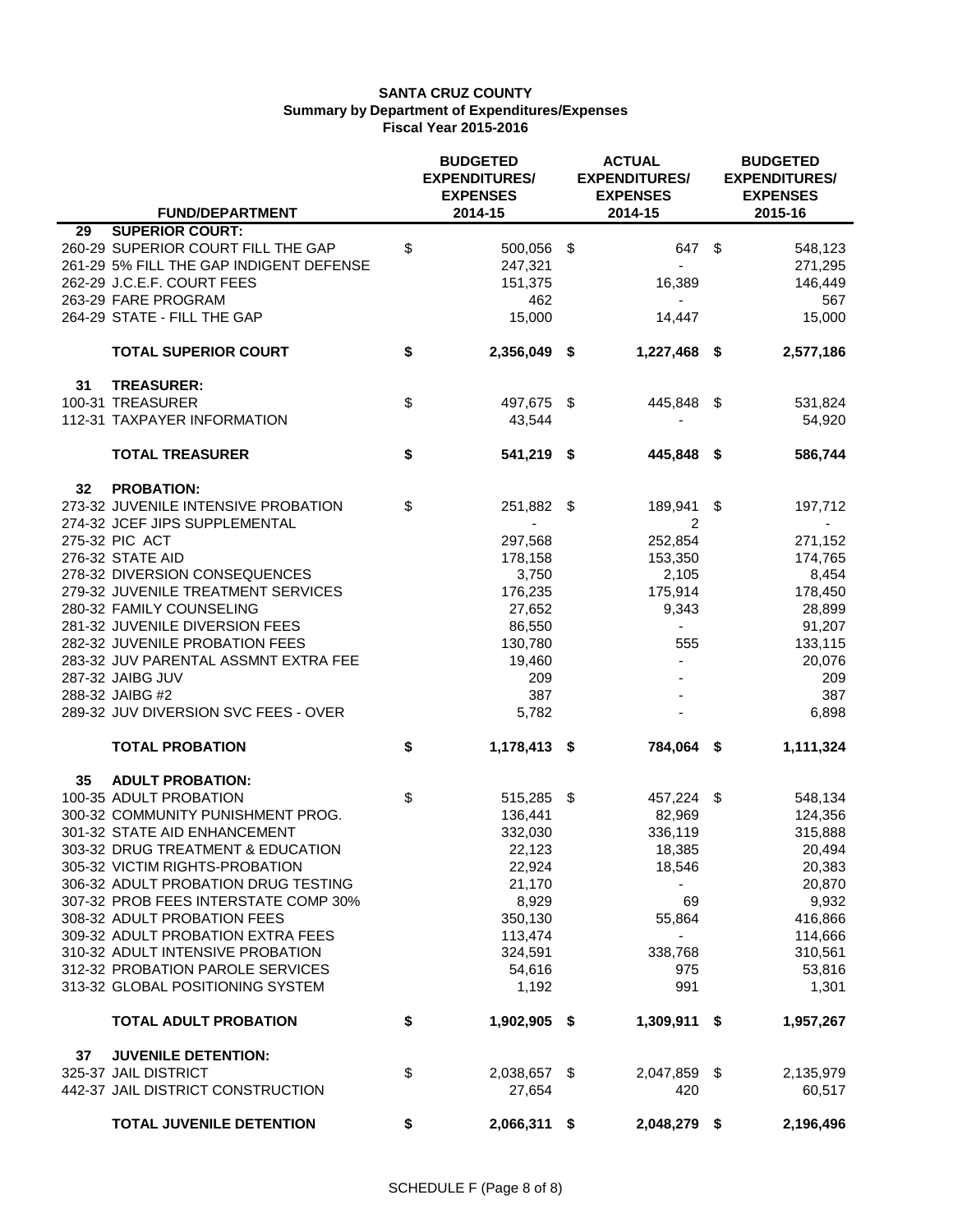| <b>FUND/DEPARTMENT</b>                  | <b>BUDGETED</b><br><b>EXPENDITURES/</b><br><b>EXPENSES</b><br>2014-15 | <b>ACTUAL</b><br><b>EXPENDITURES/</b><br><b>EXPENSES</b><br>2014-15 | <b>BUDGETED</b><br><b>EXPENDITURES/</b><br><b>EXPENSES</b><br>2015-16 |
|-----------------------------------------|-----------------------------------------------------------------------|---------------------------------------------------------------------|-----------------------------------------------------------------------|
| <b>SUPERIOR COURT:</b><br>29            |                                                                       |                                                                     |                                                                       |
|                                         |                                                                       |                                                                     |                                                                       |
| 260-29 SUPERIOR COURT FILL THE GAP      | \$<br>500,056 \$                                                      | 647 \$                                                              | 548,123                                                               |
| 261-29 5% FILL THE GAP INDIGENT DEFENSE | 247,321                                                               |                                                                     | 271,295                                                               |
| 262-29 J.C.E.F. COURT FEES              | 151,375                                                               | 16,389                                                              | 146,449                                                               |
| 263-29 FARE PROGRAM                     | 462                                                                   |                                                                     | 567                                                                   |
| 264-29 STATE - FILL THE GAP             | 15,000                                                                | 14,447                                                              | 15,000                                                                |
| <b>TOTAL SUPERIOR COURT</b>             | \$<br>2,356,049 \$                                                    | 1,227,468 \$                                                        | 2,577,186                                                             |
| <b>TREASURER:</b><br>31                 |                                                                       |                                                                     |                                                                       |
| 100-31 TREASURER                        | \$<br>497,675 \$                                                      | 445,848 \$                                                          | 531,824                                                               |
| 112-31 TAXPAYER INFORMATION             | 43,544                                                                |                                                                     | 54,920                                                                |
| <b>TOTAL TREASURER</b>                  | \$<br>541,219 \$                                                      | 445,848 \$                                                          | 586,744                                                               |
| <b>PROBATION:</b><br>32 <sub>2</sub>    |                                                                       |                                                                     |                                                                       |
| 273-32 JUVENILE INTENSIVE PROBATION     | \$<br>251,882 \$                                                      | 189,941                                                             | \$<br>197,712                                                         |
| 274-32 JCEF JIPS SUPPLEMENTAL           |                                                                       | 2                                                                   |                                                                       |
| 275-32 PIC ACT                          | 297,568                                                               | 252,854                                                             | 271,152                                                               |
| 276-32 STATE AID                        | 178,158                                                               | 153,350                                                             | 174,765                                                               |
| 278-32 DIVERSION CONSEQUENCES           | 3,750                                                                 | 2,105                                                               | 8,454                                                                 |
| 279-32 JUVENILE TREATMENT SERVICES      | 176,235                                                               | 175,914                                                             | 178,450                                                               |
| 280-32 FAMILY COUNSELING                | 27,652                                                                | 9,343                                                               | 28,899                                                                |
| 281-32 JUVENILE DIVERSION FEES          | 86,550                                                                |                                                                     | 91,207                                                                |
| 282-32 JUVENILE PROBATION FEES          | 130,780                                                               | 555                                                                 | 133,115                                                               |
| 283-32 JUV PARENTAL ASSMNT EXTRA FEE    | 19,460                                                                |                                                                     |                                                                       |
|                                         |                                                                       |                                                                     | 20,076                                                                |
| 287-32 JAIBG JUV                        | 209                                                                   |                                                                     | 209                                                                   |
| 288-32 JAIBG #2                         | 387                                                                   |                                                                     | 387                                                                   |
| 289-32 JUV DIVERSION SVC FEES - OVER    | 5,782                                                                 |                                                                     | 6,898                                                                 |
| <b>TOTAL PROBATION</b>                  | \$<br>1,178,413 \$                                                    | 784,064 \$                                                          | 1,111,324                                                             |
| 35<br><b>ADULT PROBATION:</b>           |                                                                       |                                                                     |                                                                       |
| 100-35 ADULT PROBATION                  | \$<br>515,285 \$                                                      | 457,224 \$                                                          | 548,134                                                               |
| 300-32 COMMUNITY PUNISHMENT PROG.       | 136,441                                                               | 82,969                                                              | 124,356                                                               |
| 301-32 STATE AID ENHANCEMENT            | 332,030                                                               | 336,119                                                             | 315,888                                                               |
| 303-32 DRUG TREATMENT & EDUCATION       | 22,123                                                                | 18,385                                                              | 20,494                                                                |
| 305-32 VICTIM RIGHTS-PROBATION          | 22,924                                                                | 18,546                                                              | 20,383                                                                |
| 306-32 ADULT PROBATION DRUG TESTING     | 21,170                                                                |                                                                     | 20,870                                                                |
| 307-32 PROB FEES INTERSTATE COMP 30%    | 8,929                                                                 | 69                                                                  | 9,932                                                                 |
| 308-32 ADULT PROBATION FEES             | 350,130                                                               | 55,864                                                              | 416,866                                                               |
| 309-32 ADULT PROBATION EXTRA FEES       | 113,474                                                               | $\blacksquare$                                                      | 114,666                                                               |
| 310-32 ADULT INTENSIVE PROBATION        | 324,591                                                               | 338,768                                                             | 310,561                                                               |
| 312-32 PROBATION PAROLE SERVICES        | 54,616                                                                | 975                                                                 | 53,816                                                                |
| 313-32 GLOBAL POSITIONING SYSTEM        | 1,192                                                                 | 991                                                                 | 1,301                                                                 |
| <b>TOTAL ADULT PROBATION</b>            | \$<br>1,902,905 \$                                                    | 1,309,911 \$                                                        | 1,957,267                                                             |
| <b>JUVENILE DETENTION:</b><br>37        |                                                                       |                                                                     |                                                                       |
| 325-37 JAIL DISTRICT                    | \$<br>2,038,657 \$                                                    | 2,047,859 \$                                                        | 2,135,979                                                             |
| 442-37 JAIL DISTRICT CONSTRUCTION       | 27,654                                                                | 420                                                                 | 60,517                                                                |
| <b>TOTAL JUVENILE DETENTION</b>         | \$<br>2,066,311 \$                                                    | 2,048,279 \$                                                        | 2,196,496                                                             |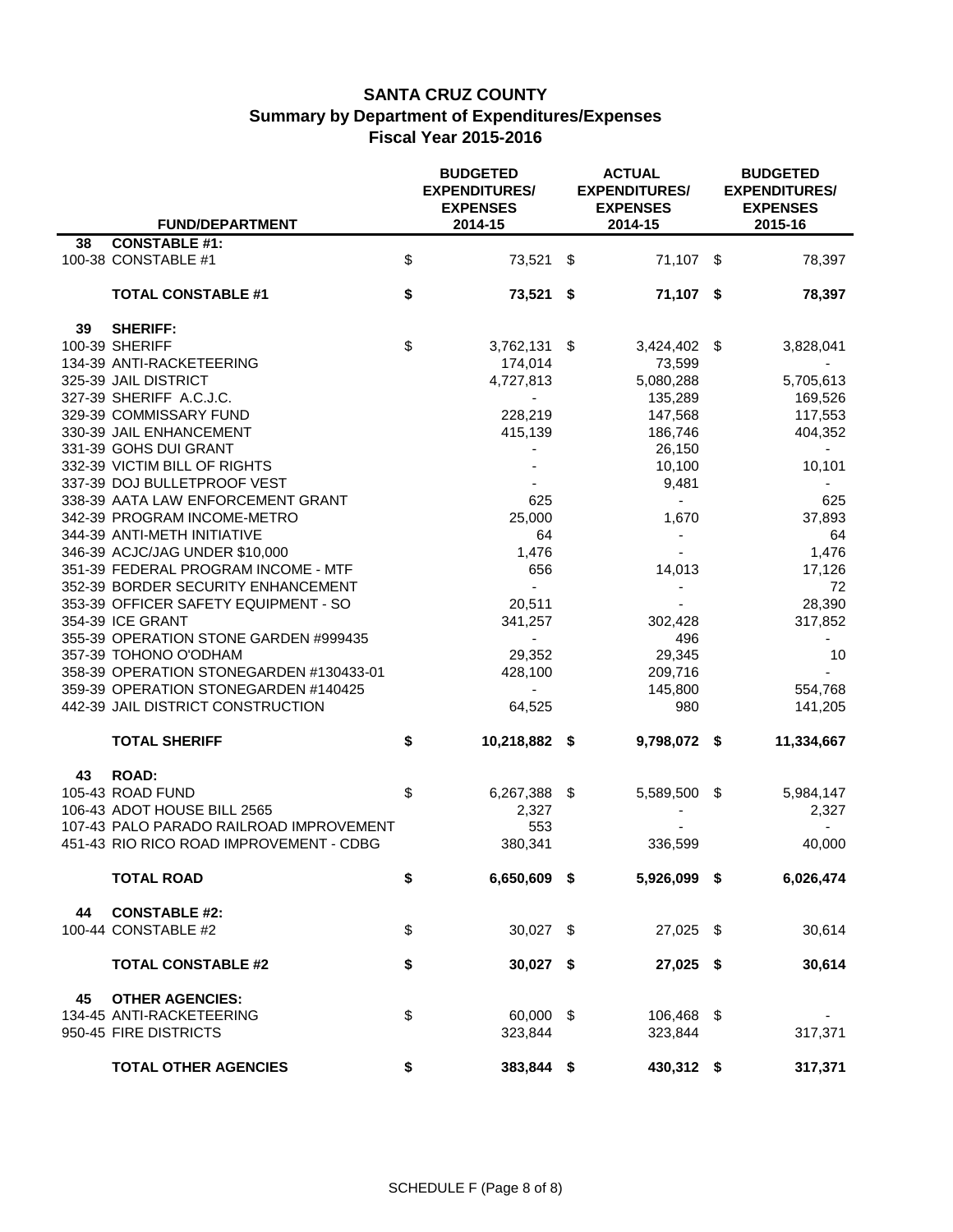|    |                                             | <b>BUDGETED</b><br><b>EXPENDITURES/</b><br><b>EXPENSES</b> | <b>ACTUAL</b><br><b>EXPENDITURES/</b><br><b>EXPENSES</b> | <b>BUDGETED</b><br><b>EXPENDITURES/</b><br><b>EXPENSES</b> |
|----|---------------------------------------------|------------------------------------------------------------|----------------------------------------------------------|------------------------------------------------------------|
|    | <b>FUND/DEPARTMENT</b>                      | 2014-15                                                    | 2014-15                                                  | 2015-16                                                    |
| 38 | <b>CONSTABLE #1:</b><br>100-38 CONSTABLE #1 | \$<br>73,521 \$                                            | 71,107 \$                                                | 78,397                                                     |
|    | <b>TOTAL CONSTABLE #1</b>                   | \$<br>73,521 \$                                            | 71,107 \$                                                | 78,397                                                     |
| 39 | <b>SHERIFF:</b>                             |                                                            |                                                          |                                                            |
|    | 100-39 SHERIFF                              | \$<br>$3,762,131$ \$                                       | 3,424,402                                                | \$<br>3,828,041                                            |
|    | 134-39 ANTI-RACKETEERING                    | 174,014                                                    | 73,599                                                   |                                                            |
|    | 325-39 JAIL DISTRICT                        | 4,727,813                                                  | 5,080,288                                                | 5,705,613                                                  |
|    | 327-39 SHERIFF A.C.J.C.                     | $\blacksquare$                                             | 135,289                                                  | 169,526                                                    |
|    | 329-39 COMMISSARY FUND                      | 228,219                                                    | 147,568                                                  | 117,553                                                    |
|    | 330-39 JAIL ENHANCEMENT                     | 415,139                                                    | 186,746                                                  | 404,352                                                    |
|    | 331-39 GOHS DUI GRANT                       |                                                            | 26,150                                                   |                                                            |
|    | 332-39 VICTIM BILL OF RIGHTS                |                                                            | 10,100                                                   | 10,101                                                     |
|    | 337-39 DOJ BULLETPROOF VEST                 |                                                            | 9,481                                                    | $\blacksquare$                                             |
|    | 338-39 AATA LAW ENFORCEMENT GRANT           | 625                                                        | $\sim$                                                   | 625                                                        |
|    | 342-39 PROGRAM INCOME-METRO                 | 25,000                                                     | 1,670                                                    | 37,893                                                     |
|    | 344-39 ANTI-METH INITIATIVE                 | 64                                                         | $\blacksquare$                                           | 64                                                         |
|    | 346-39 ACJC/JAG UNDER \$10,000              | 1,476                                                      |                                                          | 1,476                                                      |
|    | 351-39 FEDERAL PROGRAM INCOME - MTF         | 656                                                        | 14,013                                                   | 17,126                                                     |
|    | 352-39 BORDER SECURITY ENHANCEMENT          | $\blacksquare$                                             |                                                          | 72                                                         |
|    | 353-39 OFFICER SAFETY EQUIPMENT - SO        | 20,511                                                     |                                                          | 28,390                                                     |
|    | 354-39 ICE GRANT                            | 341,257                                                    | 302,428                                                  | 317,852                                                    |
|    | 355-39 OPERATION STONE GARDEN #999435       |                                                            | 496                                                      |                                                            |
|    | 357-39 TOHONO O'ODHAM                       | 29,352                                                     | 29,345                                                   | 10                                                         |
|    | 358-39 OPERATION STONEGARDEN #130433-01     | 428,100                                                    | 209,716                                                  |                                                            |
|    | 359-39 OPERATION STONEGARDEN #140425        |                                                            | 145,800                                                  | 554,768                                                    |
|    | 442-39 JAIL DISTRICT CONSTRUCTION           | 64,525                                                     | 980                                                      | 141,205                                                    |
|    | <b>TOTAL SHERIFF</b>                        | \$<br>10,218,882 \$                                        | 9,798,072 \$                                             | 11,334,667                                                 |
| 43 | <b>ROAD:</b>                                |                                                            |                                                          |                                                            |
|    | 105-43 ROAD FUND                            | \$<br>6,267,388 \$                                         | 5,589,500 \$                                             | 5,984,147                                                  |
|    | 106-43 ADOT HOUSE BILL 2565                 | 2,327                                                      |                                                          | 2,327                                                      |
|    | 107-43 PALO PARADO RAILROAD IMPROVEMENT     | 553                                                        |                                                          |                                                            |
|    | 451-43 RIO RICO ROAD IMPROVEMENT - CDBG     | 380,341                                                    | 336,599                                                  | 40,000                                                     |
|    | <b>TOTAL ROAD</b>                           | \$<br>6,650,609 \$                                         | 5,926,099 \$                                             | 6,026,474                                                  |
| 44 | <b>CONSTABLE #2:</b>                        |                                                            |                                                          |                                                            |
|    | 100-44 CONSTABLE #2                         | \$<br>30,027 \$                                            | 27,025 \$                                                | 30,614                                                     |
|    |                                             |                                                            |                                                          |                                                            |
|    | <b>TOTAL CONSTABLE #2</b>                   | \$<br>$30,027$ \$                                          | 27,025 \$                                                | 30,614                                                     |
| 45 | <b>OTHER AGENCIES:</b>                      |                                                            |                                                          |                                                            |
|    | 134-45 ANTI-RACKETEERING                    | \$<br>60,000 \$                                            | 106,468 \$                                               |                                                            |
|    | 950-45 FIRE DISTRICTS                       | 323,844                                                    | 323,844                                                  | 317,371                                                    |
|    |                                             |                                                            |                                                          |                                                            |
|    | <b>TOTAL OTHER AGENCIES</b>                 | \$<br>383,844 \$                                           | 430,312 \$                                               | 317,371                                                    |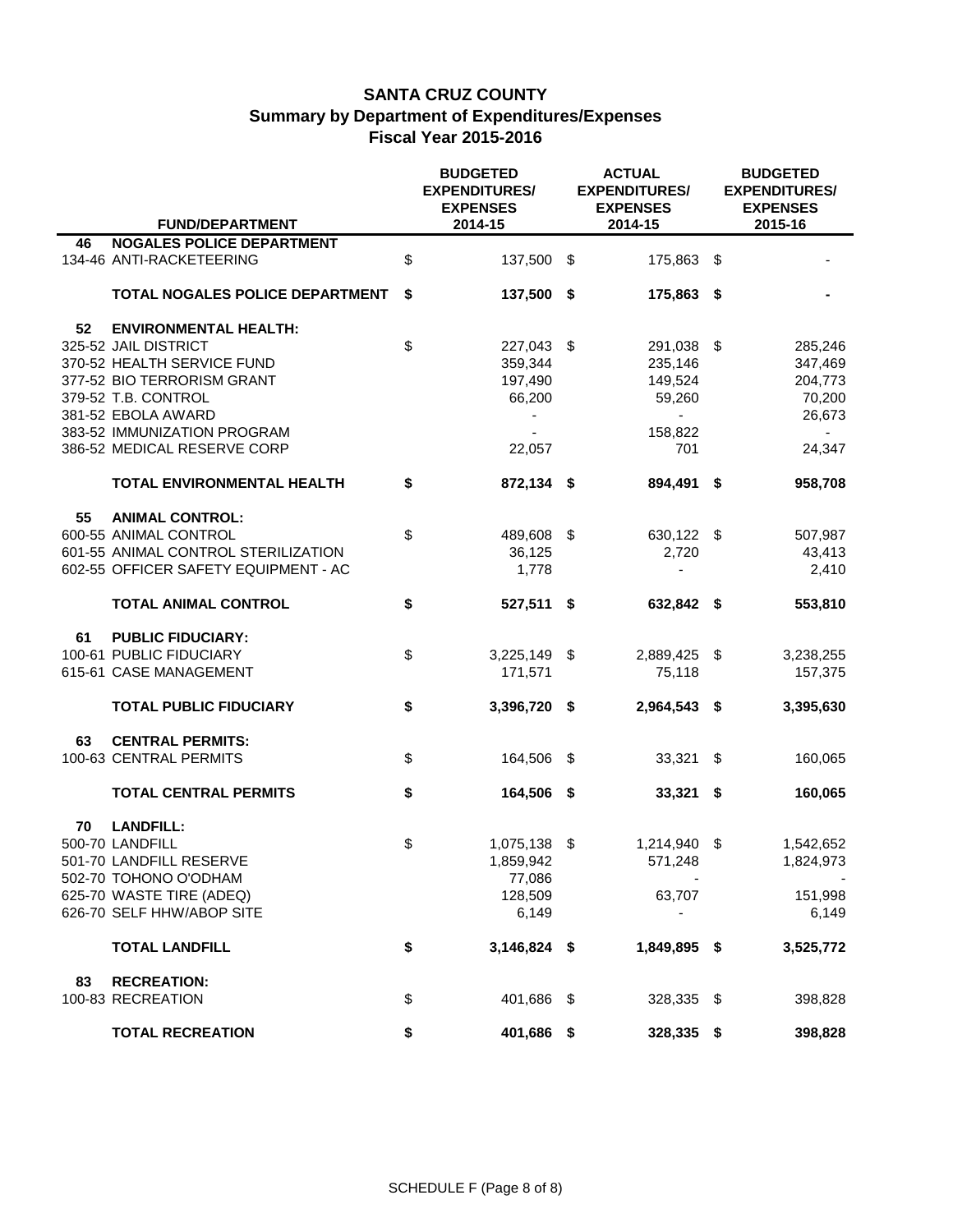|    |                                                              | <b>BUDGETED</b><br><b>EXPENDITURES/</b><br><b>EXPENSES</b> |     | <b>ACTUAL</b><br><b>EXPENDITURES/</b><br><b>EXPENSES</b> | <b>BUDGETED</b><br><b>EXPENDITURES/</b><br><b>EXPENSES</b> |
|----|--------------------------------------------------------------|------------------------------------------------------------|-----|----------------------------------------------------------|------------------------------------------------------------|
|    | <b>FUND/DEPARTMENT</b>                                       | 2014-15                                                    |     | 2014-15                                                  | 2015-16                                                    |
| 46 | <b>NOGALES POLICE DEPARTMENT</b><br>134-46 ANTI-RACKETEERING | \$<br>137,500 \$                                           |     | 175,863 \$                                               |                                                            |
|    | TOTAL NOGALES POLICE DEPARTMENT                              | \$<br>137,500 \$                                           |     | 175,863 \$                                               |                                                            |
| 52 | <b>ENVIRONMENTAL HEALTH:</b>                                 |                                                            |     |                                                          |                                                            |
|    | 325-52 JAIL DISTRICT                                         | \$<br>227,043 \$                                           |     | 291,038                                                  | \$<br>285,246                                              |
|    | 370-52 HEALTH SERVICE FUND                                   | 359,344                                                    |     | 235,146                                                  | 347,469                                                    |
|    | 377-52 BIO TERRORISM GRANT                                   | 197,490                                                    |     | 149,524                                                  | 204,773                                                    |
|    | 379-52 T.B. CONTROL                                          | 66,200                                                     |     | 59,260                                                   | 70,200                                                     |
|    | 381-52 EBOLA AWARD                                           |                                                            |     | $\blacksquare$                                           | 26,673                                                     |
|    | 383-52 IMMUNIZATION PROGRAM                                  |                                                            |     | 158,822                                                  |                                                            |
|    | 386-52 MEDICAL RESERVE CORP                                  | 22,057                                                     |     | 701                                                      | 24,347                                                     |
|    | <b>TOTAL ENVIRONMENTAL HEALTH</b>                            | \$<br>872,134 \$                                           |     | 894,491 \$                                               | 958,708                                                    |
| 55 | <b>ANIMAL CONTROL:</b>                                       |                                                            |     |                                                          |                                                            |
|    | 600-55 ANIMAL CONTROL                                        | \$<br>489,608 \$                                           |     | 630,122 \$                                               | 507,987                                                    |
|    | 601-55 ANIMAL CONTROL STERILIZATION                          | 36,125                                                     |     | 2,720                                                    | 43,413                                                     |
|    | 602-55 OFFICER SAFETY EQUIPMENT - AC                         | 1,778                                                      |     |                                                          | 2,410                                                      |
|    |                                                              |                                                            |     |                                                          |                                                            |
|    | <b>TOTAL ANIMAL CONTROL</b>                                  | \$<br>527,511 \$                                           |     | 632,842 \$                                               | 553,810                                                    |
| 61 | <b>PUBLIC FIDUCIARY:</b>                                     |                                                            |     |                                                          |                                                            |
|    | 100-61 PUBLIC FIDUCIARY                                      | \$<br>$3,225,149$ \$                                       |     | 2,889,425 \$                                             | 3,238,255                                                  |
|    | 615-61 CASE MANAGEMENT                                       | 171,571                                                    |     | 75,118                                                   | 157,375                                                    |
|    |                                                              |                                                            |     |                                                          |                                                            |
|    | <b>TOTAL PUBLIC FIDUCIARY</b>                                | \$<br>3,396,720 \$                                         |     | 2,964,543 \$                                             | 3,395,630                                                  |
| 63 | <b>CENTRAL PERMITS:</b>                                      |                                                            |     |                                                          |                                                            |
|    | 100-63 CENTRAL PERMITS                                       | \$<br>164,506                                              | -\$ | 33,321                                                   | \$<br>160,065                                              |
|    | <b>TOTAL CENTRAL PERMITS</b>                                 | \$<br>164,506 \$                                           |     | $33,321$ \$                                              | 160,065                                                    |
| 70 | <b>LANDFILL:</b>                                             |                                                            |     |                                                          |                                                            |
|    | 500-70 LANDFILL                                              | \$<br>1,075,138 \$                                         |     | 1,214,940 \$                                             | 1,542,652                                                  |
|    | 501-70 LANDFILL RESERVE                                      | 1,859,942                                                  |     | 571,248                                                  | 1,824,973                                                  |
|    | 502-70 TOHONO O'ODHAM                                        | 77,086                                                     |     |                                                          |                                                            |
|    | 625-70 WASTE TIRE (ADEQ)                                     | 128,509                                                    |     | 63,707                                                   | 151,998                                                    |
|    | 626-70 SELF HHW/ABOP SITE                                    | 6,149                                                      |     |                                                          | 6,149                                                      |
|    |                                                              |                                                            |     |                                                          |                                                            |
|    | <b>TOTAL LANDFILL</b>                                        | \$<br>3,146,824 \$                                         |     | 1,849,895 \$                                             | 3,525,772                                                  |
| 83 | <b>RECREATION:</b>                                           |                                                            |     |                                                          |                                                            |
|    | 100-83 RECREATION                                            | \$<br>401,686 \$                                           |     | 328,335 \$                                               | 398,828                                                    |
|    | <b>TOTAL RECREATION</b>                                      | \$<br>401,686 \$                                           |     | 328,335 \$                                               | 398,828                                                    |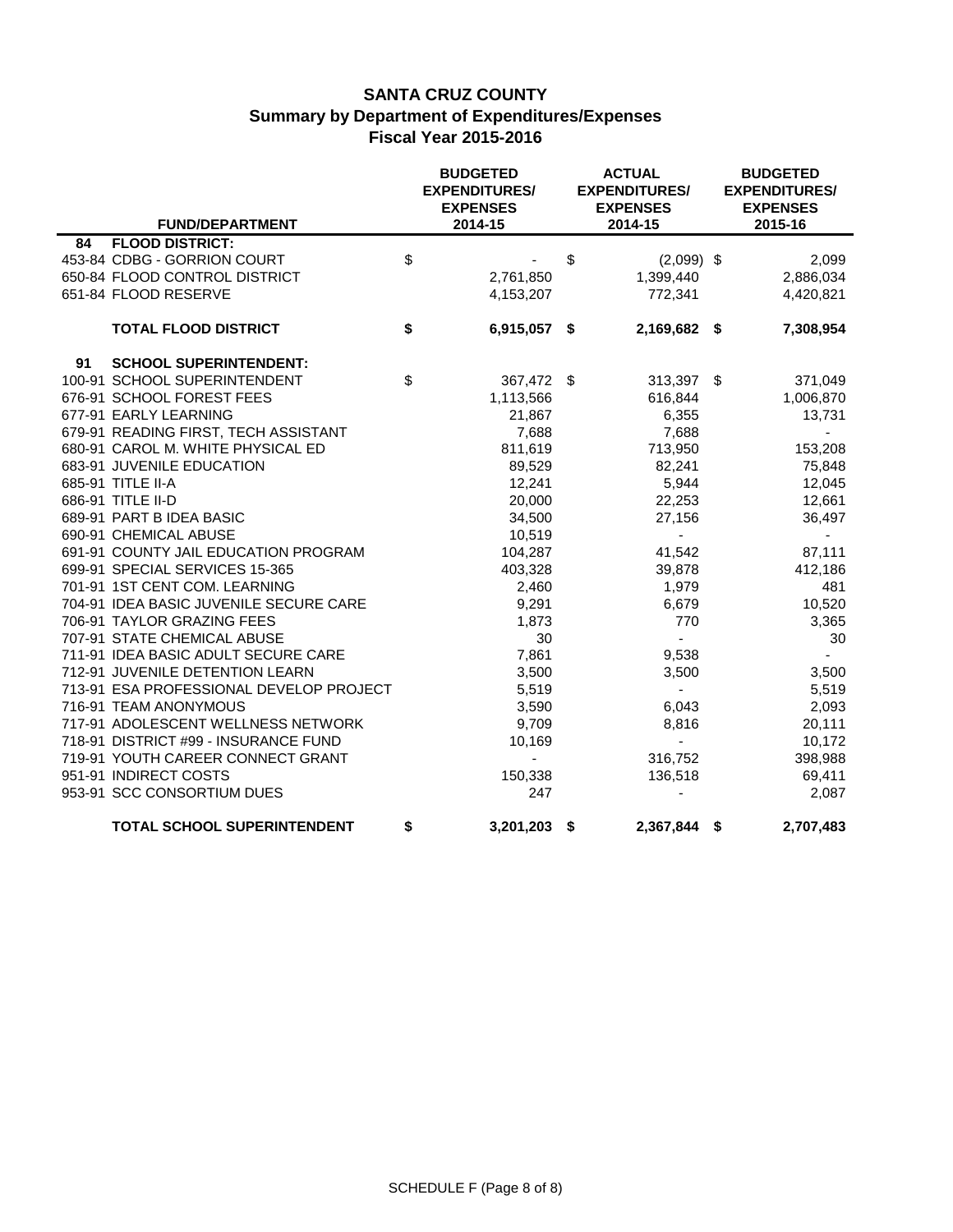|    | <b>FUND/DEPARTMENT</b>                  | <b>BUDGETED</b><br><b>EXPENDITURES/</b><br><b>EXPENSES</b><br>2014-15 | <b>ACTUAL</b><br><b>EXPENDITURES/</b><br><b>EXPENSES</b><br>2014-15 | <b>BUDGETED</b><br><b>EXPENDITURES/</b><br><b>EXPENSES</b><br>2015-16 |
|----|-----------------------------------------|-----------------------------------------------------------------------|---------------------------------------------------------------------|-----------------------------------------------------------------------|
| 84 | <b>FLOOD DISTRICT:</b>                  |                                                                       |                                                                     |                                                                       |
|    | 453-84 CDBG - GORRION COURT             | \$                                                                    | \$<br>$(2,099)$ \$                                                  | 2,099                                                                 |
|    | 650-84 FLOOD CONTROL DISTRICT           | 2,761,850                                                             | 1,399,440                                                           | 2,886,034                                                             |
|    | 651-84 FLOOD RESERVE                    | 4,153,207                                                             | 772,341                                                             | 4,420,821                                                             |
|    | <b>TOTAL FLOOD DISTRICT</b>             | \$<br>6,915,057 \$                                                    | 2,169,682 \$                                                        | 7,308,954                                                             |
| 91 | <b>SCHOOL SUPERINTENDENT:</b>           |                                                                       |                                                                     |                                                                       |
|    | 100-91 SCHOOL SUPERINTENDENT            | \$<br>367,472 \$                                                      | 313,397 \$                                                          | 371,049                                                               |
|    | 676-91 SCHOOL FOREST FEES               | 1,113,566                                                             | 616,844                                                             | 1,006,870                                                             |
|    | 677-91 EARLY LEARNING                   | 21,867                                                                | 6,355                                                               | 13,731                                                                |
|    | 679-91 READING FIRST, TECH ASSISTANT    | 7,688                                                                 | 7,688                                                               | $\sim$                                                                |
|    | 680-91 CAROL M. WHITE PHYSICAL ED       | 811,619                                                               | 713,950                                                             | 153,208                                                               |
|    | 683-91 JUVENILE EDUCATION               | 89,529                                                                | 82,241                                                              | 75,848                                                                |
|    | 685-91 TITLE II-A                       | 12,241                                                                | 5,944                                                               | 12,045                                                                |
|    | 686-91 TITLE II-D                       | 20,000                                                                | 22,253                                                              | 12,661                                                                |
|    | 689-91 PART B IDEA BASIC                | 34,500                                                                | 27,156                                                              | 36,497                                                                |
|    | 690-91 CHEMICAL ABUSE                   | 10,519                                                                |                                                                     |                                                                       |
|    | 691-91 COUNTY JAIL EDUCATION PROGRAM    | 104,287                                                               | 41,542                                                              | 87,111                                                                |
|    | 699-91 SPECIAL SERVICES 15-365          | 403,328                                                               | 39,878                                                              | 412,186                                                               |
|    | 701-91 1ST CENT COM. LEARNING           | 2,460                                                                 | 1,979                                                               | 481                                                                   |
|    | 704-91 IDEA BASIC JUVENILE SECURE CARE  | 9,291                                                                 | 6,679                                                               | 10,520                                                                |
|    | 706-91 TAYLOR GRAZING FEES              | 1,873                                                                 | 770                                                                 | 3,365                                                                 |
|    | 707-91 STATE CHEMICAL ABUSE             | 30                                                                    | $\blacksquare$                                                      | 30                                                                    |
|    | 711-91 IDEA BASIC ADULT SECURE CARE     | 7,861                                                                 | 9,538                                                               |                                                                       |
|    | 712-91 JUVENILE DETENTION LEARN         | 3,500                                                                 | 3,500                                                               | 3,500                                                                 |
|    | 713-91 ESA PROFESSIONAL DEVELOP PROJECT | 5,519                                                                 | $\sim$                                                              | 5,519                                                                 |
|    | 716-91 TEAM ANONYMOUS                   | 3,590                                                                 | 6,043                                                               | 2,093                                                                 |
|    | 717-91 ADOLESCENT WELLNESS NETWORK      | 9,709                                                                 | 8,816                                                               | 20,111                                                                |
|    | 718-91 DISTRICT #99 - INSURANCE FUND    | 10,169                                                                | $\blacksquare$                                                      | 10,172                                                                |
|    | 719-91 YOUTH CAREER CONNECT GRANT       | $\blacksquare$                                                        | 316,752                                                             | 398,988                                                               |
|    | 951-91 INDIRECT COSTS                   | 150,338                                                               | 136,518                                                             | 69,411                                                                |
|    | 953-91 SCC CONSORTIUM DUES              | 247                                                                   |                                                                     | 2,087                                                                 |
|    | TOTAL SCHOOL SUPERINTENDENT             | \$<br>3,201,203 \$                                                    | 2,367,844 \$                                                        | 2,707,483                                                             |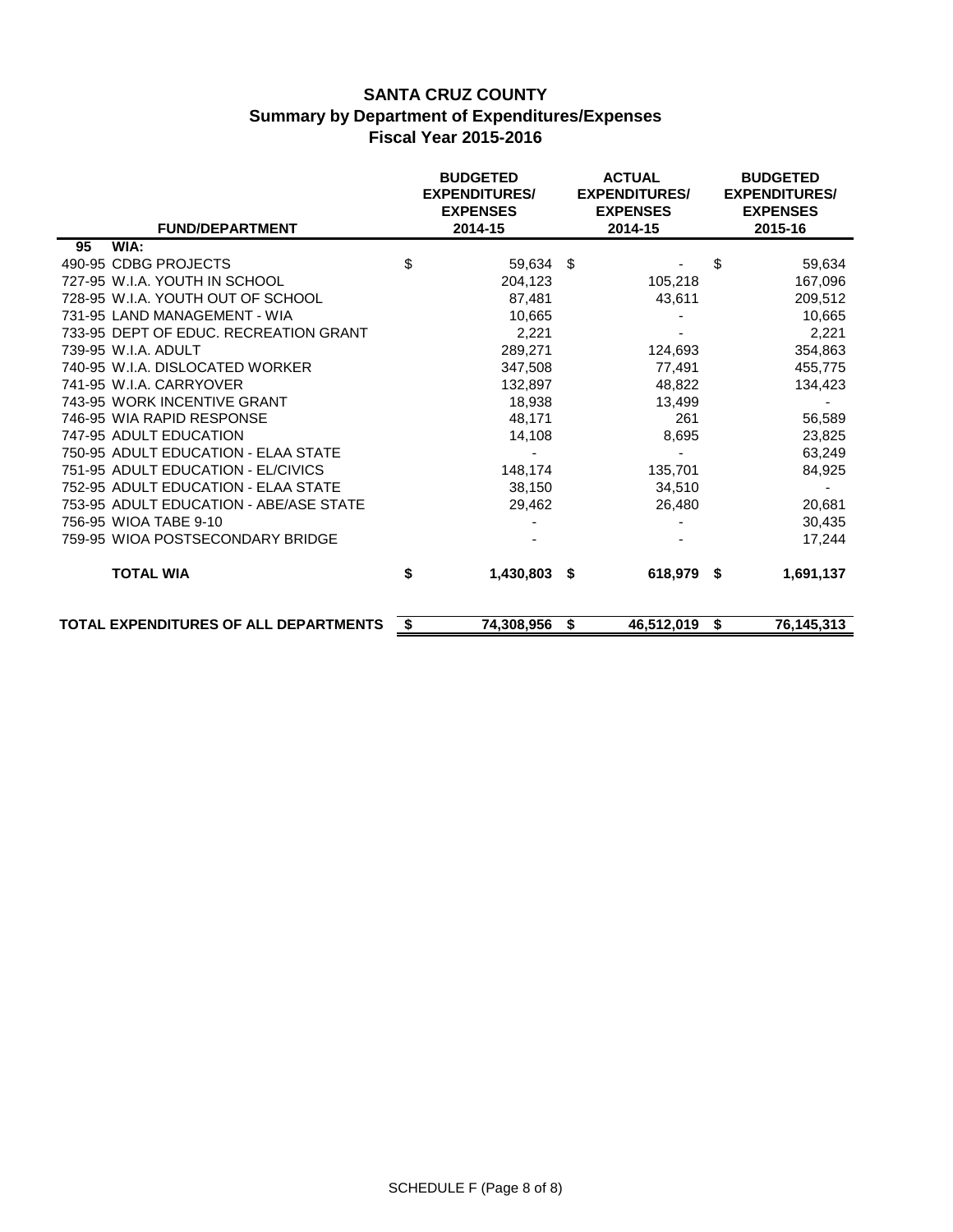| <b>FUND/DEPARTMENT</b>                 |                           | <b>ACTUAL</b><br><b>BUDGETED</b><br><b>EXPENDITURES/</b><br><b>EXPENDITURES/</b><br><b>EXPENSES</b><br><b>EXPENSES</b><br>2014-15<br>2014-15 |    |            |    | <b>BUDGETED</b><br><b>EXPENDITURES/</b><br><b>EXPENSES</b><br>2015-16 |  |  |
|----------------------------------------|---------------------------|----------------------------------------------------------------------------------------------------------------------------------------------|----|------------|----|-----------------------------------------------------------------------|--|--|
| WIA:<br>95                             |                           |                                                                                                                                              |    |            |    |                                                                       |  |  |
| 490-95 CDBG PROJECTS                   | $\boldsymbol{\mathsf{S}}$ | 59,634 \$                                                                                                                                    |    |            | \$ | 59,634                                                                |  |  |
| 727-95 W.I.A. YOUTH IN SCHOOL          |                           | 204,123                                                                                                                                      |    | 105,218    |    | 167,096                                                               |  |  |
| 728-95 W.I.A. YOUTH OUT OF SCHOOL      |                           | 87,481                                                                                                                                       |    | 43,611     |    | 209,512                                                               |  |  |
| 731-95 LAND MANAGEMENT - WIA           |                           | 10,665                                                                                                                                       |    |            |    | 10,665                                                                |  |  |
| 733-95 DEPT OF EDUC. RECREATION GRANT  |                           | 2,221                                                                                                                                        |    |            |    | 2,221                                                                 |  |  |
| 739-95 W.I.A. ADULT                    |                           | 289,271                                                                                                                                      |    | 124,693    |    | 354,863                                                               |  |  |
| 740-95 W.I.A. DISLOCATED WORKER        |                           | 347,508                                                                                                                                      |    | 77,491     |    | 455,775                                                               |  |  |
| 741-95 W.I.A. CARRYOVER                |                           | 132,897                                                                                                                                      |    | 48,822     |    | 134,423                                                               |  |  |
| 743-95 WORK INCENTIVE GRANT            |                           | 18,938                                                                                                                                       |    | 13,499     |    |                                                                       |  |  |
| 746-95 WIA RAPID RESPONSE              |                           | 48,171                                                                                                                                       |    | 261        |    | 56,589                                                                |  |  |
| 747-95 ADULT EDUCATION                 |                           | 14,108                                                                                                                                       |    | 8,695      |    | 23,825                                                                |  |  |
| 750-95 ADULT EDUCATION - ELAA STATE    |                           |                                                                                                                                              |    |            |    | 63,249                                                                |  |  |
| 751-95 ADULT EDUCATION - EL/CIVICS     |                           | 148,174                                                                                                                                      |    | 135,701    |    | 84,925                                                                |  |  |
| 752-95 ADULT EDUCATION - ELAA STATE    |                           | 38,150                                                                                                                                       |    | 34,510     |    |                                                                       |  |  |
| 753-95 ADULT EDUCATION - ABE/ASE STATE |                           | 29,462                                                                                                                                       |    | 26,480     |    | 20,681                                                                |  |  |
| 756-95 WIOA TABE 9-10                  |                           |                                                                                                                                              |    |            |    | 30,435                                                                |  |  |
| 759-95 WIOA POSTSECONDARY BRIDGE       |                           |                                                                                                                                              |    |            |    | 17,244                                                                |  |  |
| <b>TOTAL WIA</b>                       | \$                        | $1,430,803$ \$                                                                                                                               |    | 618,979 \$ |    | 1,691,137                                                             |  |  |
| TOTAL EXPENDITURES OF ALL DEPARTMENTS  | \$                        | 74,308,956                                                                                                                                   | \$ | 46,512,019 | \$ | 76,145,313                                                            |  |  |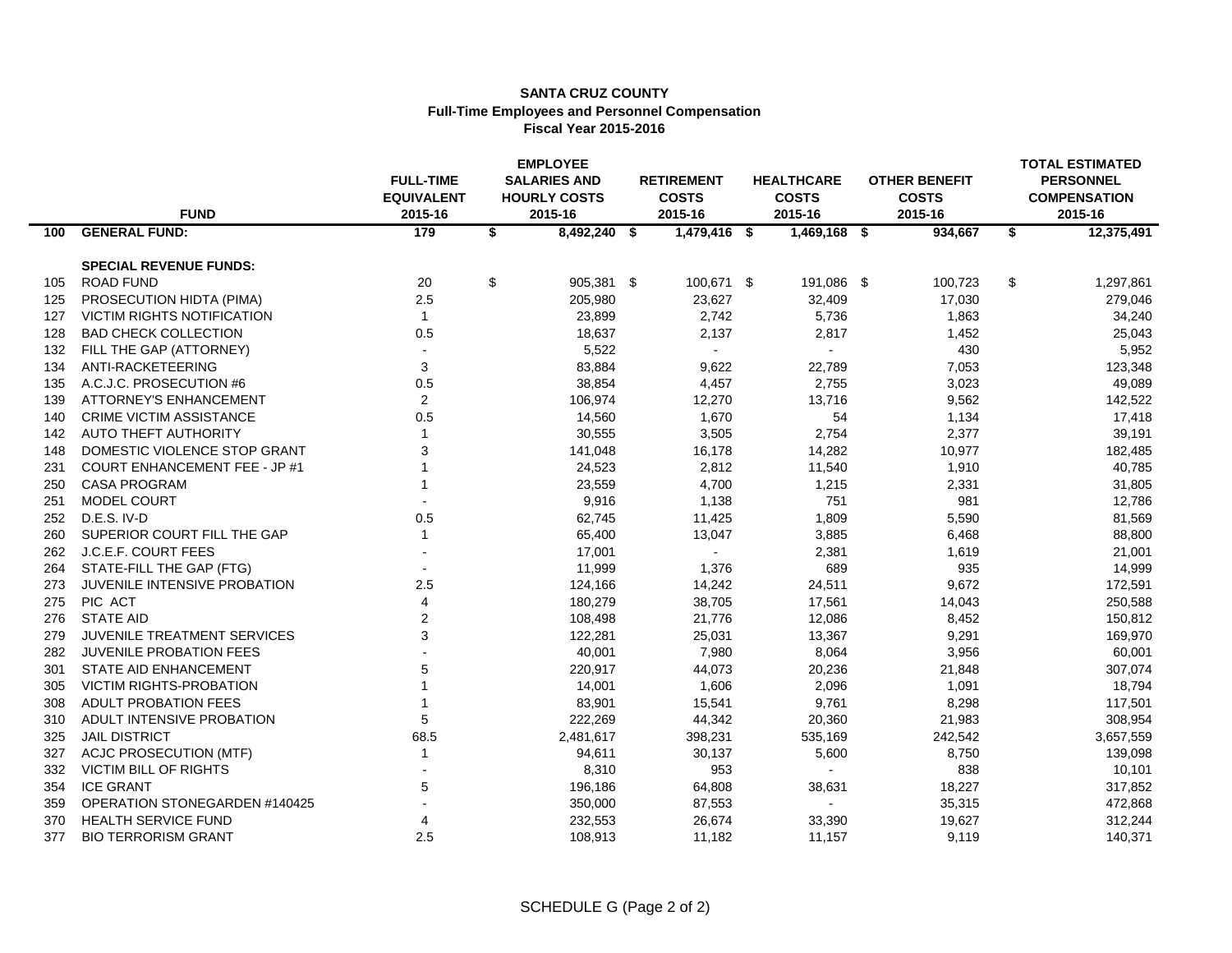#### **SANTA CRUZ COUNTY Full-Time Employees and Personnel Compensation Fiscal Year 2015-2016**

|     | <b>FUND</b>                          | <b>EMPLOYEE</b><br><b>SALARIES AND</b><br><b>FULL-TIME</b><br><b>EQUIVALENT</b><br><b>HOURLY COSTS</b><br>2015-16<br>2015-16 |    |                | <b>RETIREMENT</b><br><b>COSTS</b><br>2015-16 |                | <b>HEALTHCARE</b><br><b>COSTS</b><br>2015-16 |                | <b>OTHER BENEFIT</b><br><b>COSTS</b><br>2015-16 | <b>TOTAL ESTIMATED</b><br><b>PERSONNEL</b><br><b>COMPENSATION</b><br>2015-16 |            |
|-----|--------------------------------------|------------------------------------------------------------------------------------------------------------------------------|----|----------------|----------------------------------------------|----------------|----------------------------------------------|----------------|-------------------------------------------------|------------------------------------------------------------------------------|------------|
| 100 | <b>GENERAL FUND:</b>                 | 179                                                                                                                          | \$ | $8,492,240$ \$ |                                              | $1,479,416$ \$ |                                              | $1,469,168$ \$ | 934,667                                         | \$                                                                           | 12,375,491 |
|     | <b>SPECIAL REVENUE FUNDS:</b>        |                                                                                                                              |    |                |                                              |                |                                              |                |                                                 |                                                                              |            |
| 105 | <b>ROAD FUND</b>                     | 20                                                                                                                           | \$ | 905,381 \$     |                                              | 100,671 \$     |                                              | 191,086 \$     | 100,723                                         | \$                                                                           | 1,297,861  |
| 125 | PROSECUTION HIDTA (PIMA)             | 2.5                                                                                                                          |    | 205,980        |                                              | 23,627         |                                              | 32,409         | 17,030                                          |                                                                              | 279,046    |
| 127 | VICTIM RIGHTS NOTIFICATION           | $\mathbf{1}$                                                                                                                 |    | 23,899         |                                              | 2,742          |                                              | 5,736          | 1,863                                           |                                                                              | 34,240     |
| 128 | <b>BAD CHECK COLLECTION</b>          | 0.5                                                                                                                          |    | 18,637         |                                              | 2,137          |                                              | 2,817          | 1,452                                           |                                                                              | 25,043     |
| 132 | FILL THE GAP (ATTORNEY)              | $\overline{a}$                                                                                                               |    | 5,522          |                                              | $\blacksquare$ |                                              | $\sim$         | 430                                             |                                                                              | 5,952      |
| 134 | ANTI-RACKETEERING                    | 3                                                                                                                            |    | 83,884         |                                              | 9,622          |                                              | 22,789         | 7,053                                           |                                                                              | 123,348    |
| 135 | A.C.J.C. PROSECUTION #6              | 0.5                                                                                                                          |    | 38,854         |                                              | 4,457          |                                              | 2,755          | 3,023                                           |                                                                              | 49,089     |
| 139 | <b>ATTORNEY'S ENHANCEMENT</b>        | $\overline{2}$                                                                                                               |    | 106,974        |                                              | 12,270         |                                              | 13,716         | 9,562                                           |                                                                              | 142,522    |
| 140 | <b>CRIME VICTIM ASSISTANCE</b>       | 0.5                                                                                                                          |    | 14,560         |                                              | 1,670          |                                              | 54             | 1,134                                           |                                                                              | 17,418     |
| 142 | <b>AUTO THEFT AUTHORITY</b>          | $\mathbf{1}$                                                                                                                 |    | 30,555         |                                              | 3,505          |                                              | 2,754          | 2,377                                           |                                                                              | 39,191     |
| 148 | DOMESTIC VIOLENCE STOP GRANT         | 3                                                                                                                            |    | 141,048        |                                              | 16,178         |                                              | 14,282         | 10,977                                          |                                                                              | 182,485    |
| 231 | <b>COURT ENHANCEMENT FEE - JP #1</b> |                                                                                                                              |    | 24,523         |                                              | 2,812          |                                              | 11,540         | 1,910                                           |                                                                              | 40,785     |
| 250 | <b>CASA PROGRAM</b>                  |                                                                                                                              |    | 23,559         |                                              | 4,700          |                                              | 1,215          | 2,331                                           |                                                                              | 31,805     |
| 251 | MODEL COURT                          |                                                                                                                              |    | 9,916          |                                              | 1,138          |                                              | 751            | 981                                             |                                                                              | 12,786     |
| 252 | D.E.S. IV-D                          | 0.5                                                                                                                          |    | 62,745         |                                              | 11,425         |                                              | 1,809          | 5,590                                           |                                                                              | 81,569     |
| 260 | SUPERIOR COURT FILL THE GAP          | $\mathbf{1}$                                                                                                                 |    | 65,400         |                                              | 13,047         |                                              | 3,885          | 6,468                                           |                                                                              | 88,800     |
| 262 | J.C.E.F. COURT FEES                  |                                                                                                                              |    | 17,001         |                                              |                |                                              | 2,381          | 1,619                                           |                                                                              | 21,001     |
| 264 | STATE-FILL THE GAP (FTG)             |                                                                                                                              |    | 11,999         |                                              | 1,376          |                                              | 689            | 935                                             |                                                                              | 14,999     |
| 273 | JUVENILE INTENSIVE PROBATION         | 2.5                                                                                                                          |    | 124,166        |                                              | 14,242         |                                              | 24,511         | 9,672                                           |                                                                              | 172,591    |
| 275 | PIC ACT                              | 4                                                                                                                            |    | 180,279        |                                              | 38,705         |                                              | 17,561         | 14,043                                          |                                                                              | 250,588    |
| 276 | <b>STATE AID</b>                     | $\overline{2}$                                                                                                               |    | 108,498        |                                              | 21,776         |                                              | 12,086         | 8,452                                           |                                                                              | 150,812    |
| 279 | <b>JUVENILE TREATMENT SERVICES</b>   | 3                                                                                                                            |    | 122,281        |                                              | 25,031         |                                              | 13,367         | 9,291                                           |                                                                              | 169,970    |
| 282 | <b>JUVENILE PROBATION FEES</b>       |                                                                                                                              |    | 40,001         |                                              | 7,980          |                                              | 8,064          | 3,956                                           |                                                                              | 60,001     |
| 301 | STATE AID ENHANCEMENT                | 5                                                                                                                            |    | 220,917        |                                              | 44,073         |                                              | 20,236         | 21,848                                          |                                                                              | 307,074    |
| 305 | <b>VICTIM RIGHTS-PROBATION</b>       |                                                                                                                              |    | 14,001         |                                              | 1,606          |                                              | 2,096          | 1,091                                           |                                                                              | 18,794     |
| 308 | <b>ADULT PROBATION FEES</b>          |                                                                                                                              |    | 83,901         |                                              | 15,541         |                                              | 9,761          | 8,298                                           |                                                                              | 117,501    |
| 310 | ADULT INTENSIVE PROBATION            | 5                                                                                                                            |    | 222,269        |                                              | 44,342         |                                              | 20,360         | 21,983                                          |                                                                              | 308,954    |
| 325 | <b>JAIL DISTRICT</b>                 | 68.5                                                                                                                         |    | 2,481,617      |                                              | 398,231        |                                              | 535,169        | 242,542                                         |                                                                              | 3,657,559  |
| 327 | <b>ACJC PROSECUTION (MTF)</b>        | $\mathbf{1}$                                                                                                                 |    | 94,611         |                                              | 30,137         |                                              | 5,600          | 8,750                                           |                                                                              | 139,098    |
| 332 | <b>VICTIM BILL OF RIGHTS</b>         |                                                                                                                              |    | 8,310          |                                              | 953            |                                              | $\sim$         | 838                                             |                                                                              | 10,101     |
| 354 | <b>ICE GRANT</b>                     | 5                                                                                                                            |    | 196,186        |                                              | 64,808         |                                              | 38,631         | 18,227                                          |                                                                              | 317,852    |
| 359 | OPERATION STONEGARDEN #140425        |                                                                                                                              |    | 350,000        |                                              | 87,553         |                                              | $\blacksquare$ | 35,315                                          |                                                                              | 472,868    |
| 370 | HEALTH SERVICE FUND                  | 4                                                                                                                            |    | 232,553        |                                              | 26,674         |                                              | 33,390         | 19,627                                          |                                                                              | 312,244    |
| 377 | <b>BIO TERRORISM GRANT</b>           | 2.5                                                                                                                          |    | 108,913        |                                              | 11,182         |                                              | 11,157         | 9,119                                           |                                                                              | 140,371    |